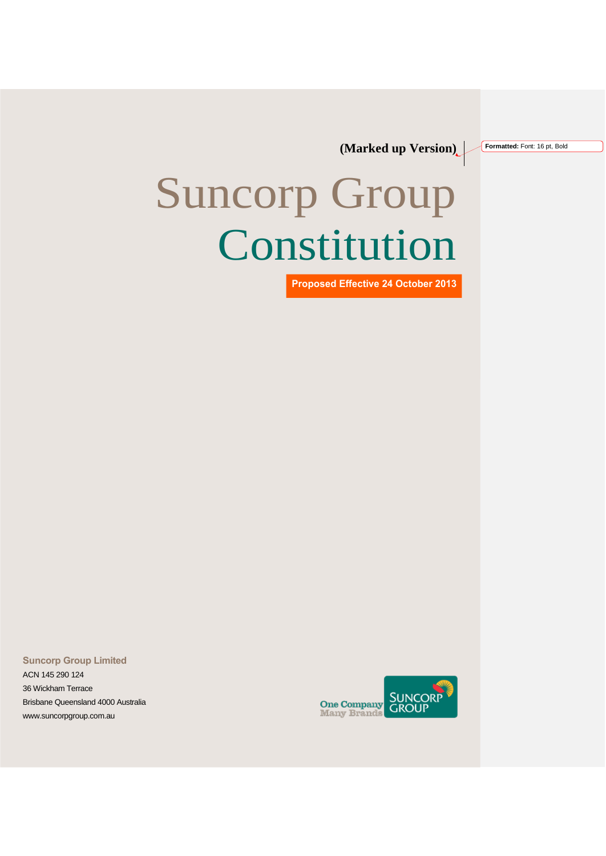**(Marked up Version)**

# Suncorp Group Constitution

**Proposed Effective 24 October 2013**

**Suncorp Group Limited** 

ACN 145 290 124 36 Wickham Terrace Brisbane Queensland 4000 Australia [www.suncorpgroup.com.au](http://www.suncorpgroup.com.au/)



**Formatted:** Font: 16 pt, Bold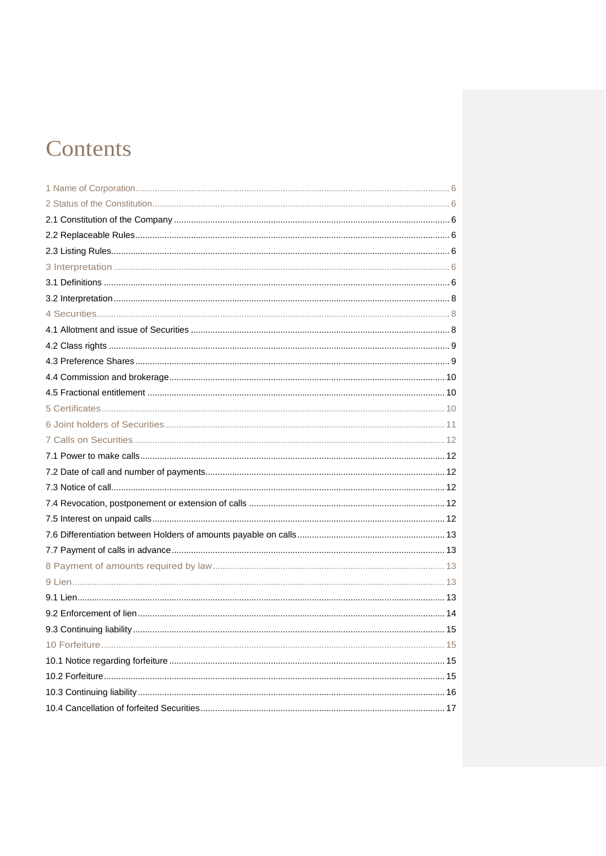# Contents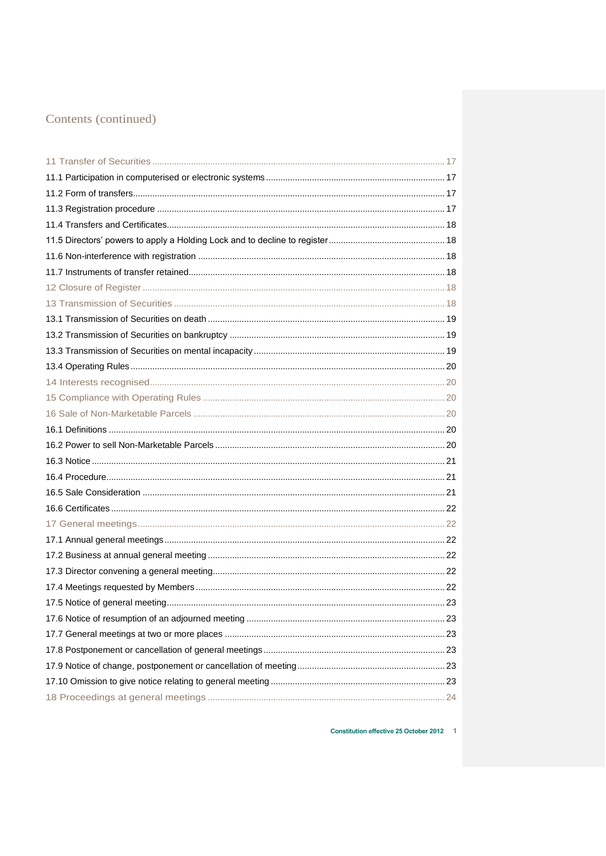Constitution effective 25 October 2012 1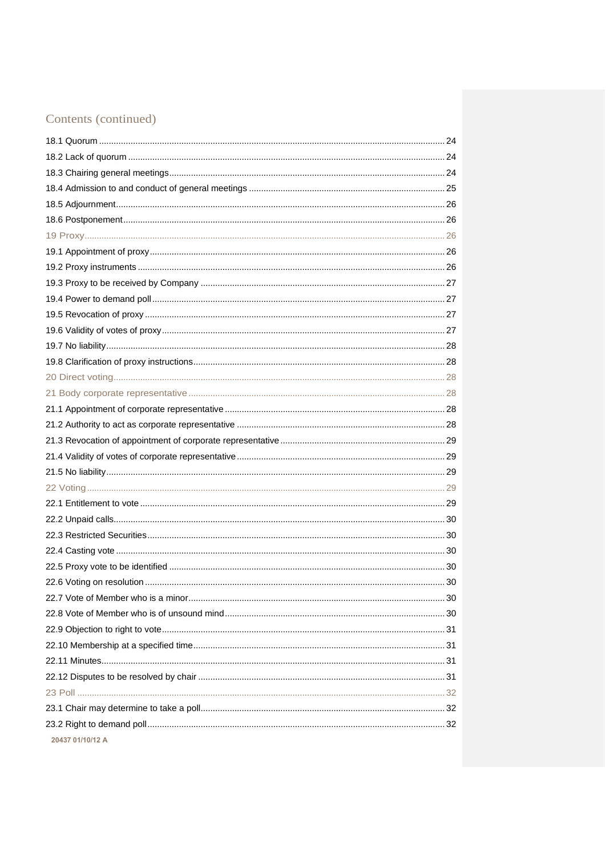| 20437 01/10/12 A |  |
|------------------|--|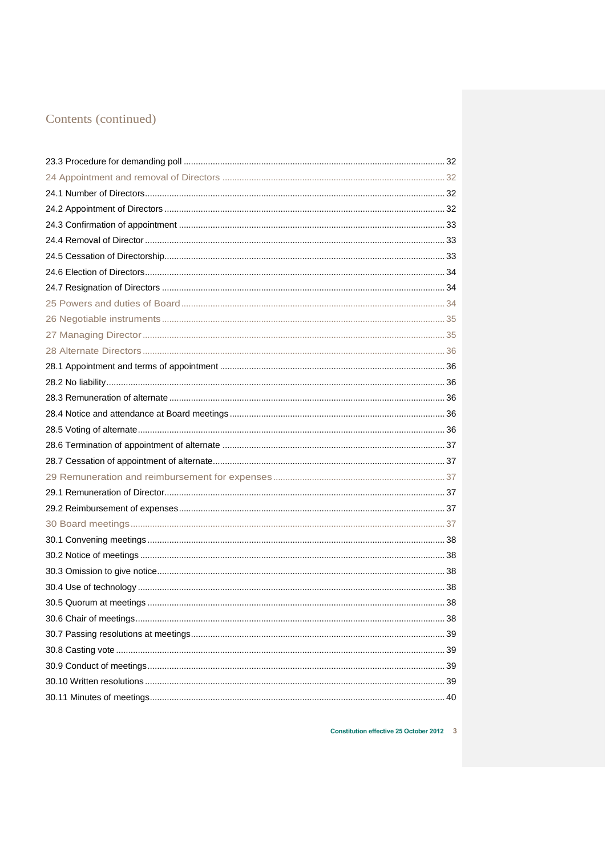Constitution effective 25 October 2012 3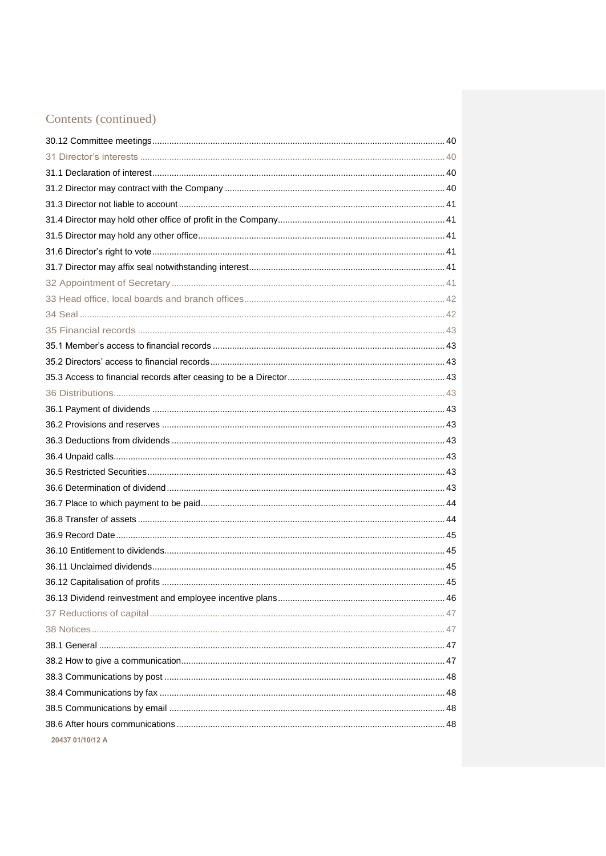| 20437 01/10/12 A |  |
|------------------|--|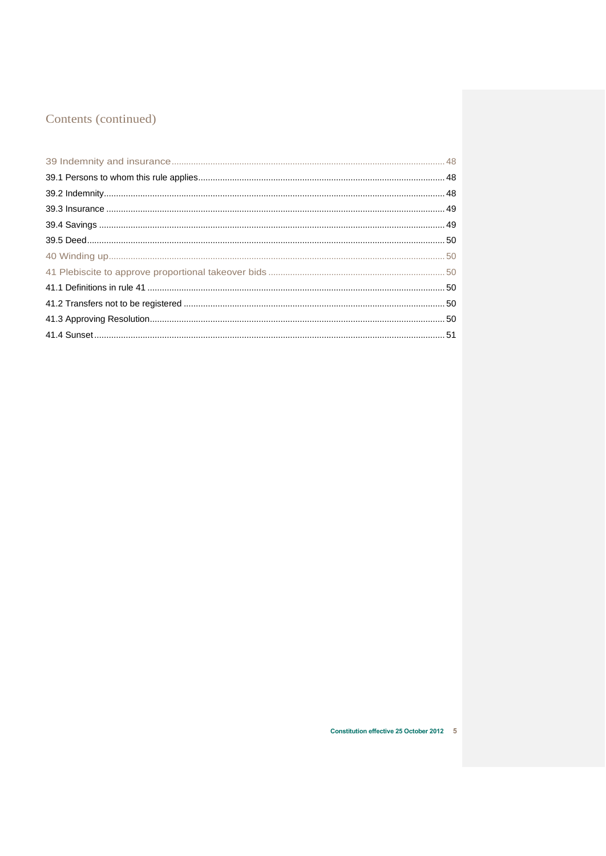Constitution effective 25 October 2012 5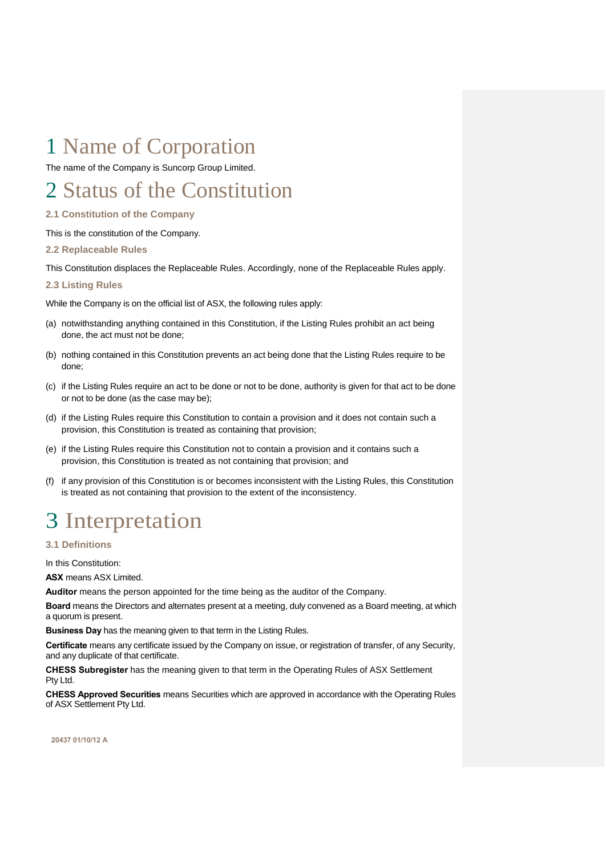# <span id="page-7-0"></span>1 Name of Corporation

The name of the Company is Suncorp Group Limited.

# <span id="page-7-1"></span>2 Status of the Constitution

<span id="page-7-2"></span>**2.1 Constitution of the Company** 

This is the constitution of the Company.

<span id="page-7-3"></span>**2.2 Replaceable Rules** 

This Constitution displaces the Replaceable Rules. Accordingly, none of the Replaceable Rules apply.

# <span id="page-7-4"></span>**2.3 Listing Rules**

While the Company is on the official list of ASX, the following rules apply:

- (a) notwithstanding anything contained in this Constitution, if the Listing Rules prohibit an act being done, the act must not be done;
- (b) nothing contained in this Constitution prevents an act being done that the Listing Rules require to be done;
- (c) if the Listing Rules require an act to be done or not to be done, authority is given for that act to be done or not to be done (as the case may be);
- (d) if the Listing Rules require this Constitution to contain a provision and it does not contain such a provision, this Constitution is treated as containing that provision;
- (e) if the Listing Rules require this Constitution not to contain a provision and it contains such a provision, this Constitution is treated as not containing that provision; and
- (f) if any provision of this Constitution is or becomes inconsistent with the Listing Rules, this Constitution is treated as not containing that provision to the extent of the inconsistency.

# <span id="page-7-5"></span>3 Interpretation

<span id="page-7-6"></span>**3.1 Definitions** 

In this Constitution:

**ASX** means ASX Limited.

**Auditor** means the person appointed for the time being as the auditor of the Company.

**Board** means the Directors and alternates present at a meeting, duly convened as a Board meeting, at which a quorum is present.

**Business Day** has the meaning given to that term in the Listing Rules.

**Certificate** means any certificate issued by the Company on issue, or registration of transfer, of any Security, and any duplicate of that certificate.

**CHESS Subregister** has the meaning given to that term in the Operating Rules of ASX Settlement Pty Ltd.

**CHESS Approved Securities** means Securities which are approved in accordance with the Operating Rules of ASX Settlement Pty Ltd.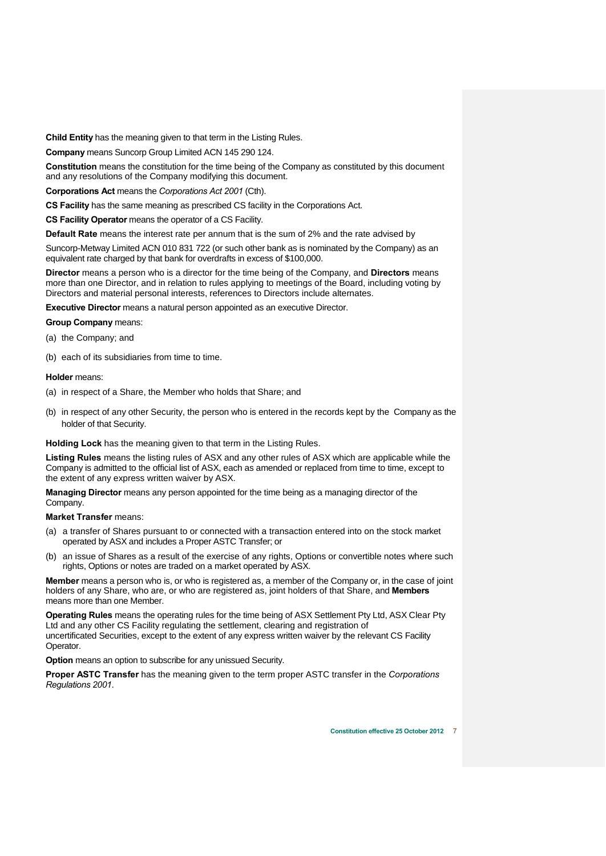**Child Entity** has the meaning given to that term in the Listing Rules.

**Company** means Suncorp Group Limited ACN 145 290 124.

**Constitution** means the constitution for the time being of the Company as constituted by this document and any resolutions of the Company modifying this document.

**Corporations Act** means the *Corporations Act 2001* (Cth).

**CS Facility** has the same meaning as prescribed CS facility in the Corporations Act.

**CS Facility Operator** means the operator of a CS Facility.

**Default Rate** means the interest rate per annum that is the sum of 2% and the rate advised by

Suncorp-Metway Limited ACN 010 831 722 (or such other bank as is nominated by the Company) as an equivalent rate charged by that bank for overdrafts in excess of \$100,000.

**Director** means a person who is a director for the time being of the Company, and **Directors** means more than one Director, and in relation to rules applying to meetings of the Board, including voting by Directors and material personal interests, references to Directors include alternates.

**Executive Director** means a natural person appointed as an executive Director.

# **Group Company** means:

(a) the Company; and

(b) each of its subsidiaries from time to time.

# **Holder** means:

- (a) in respect of a Share, the Member who holds that Share; and
- (b) in respect of any other Security, the person who is entered in the records kept by the Company as the holder of that Security.

### **Holding Lock** has the meaning given to that term in the Listing Rules.

**Listing Rules** means the listing rules of ASX and any other rules of ASX which are applicable while the Company is admitted to the official list of ASX, each as amended or replaced from time to time, except to the extent of any express written waiver by ASX.

**Managing Director** means any person appointed for the time being as a managing director of the Company.

**Market Transfer** means:

- (a) a transfer of Shares pursuant to or connected with a transaction entered into on the stock market operated by ASX and includes a Proper ASTC Transfer; or
- (b) an issue of Shares as a result of the exercise of any rights, Options or convertible notes where such rights, Options or notes are traded on a market operated by ASX.

**Member** means a person who is, or who is registered as, a member of the Company or, in the case of joint holders of any Share, who are, or who are registered as, joint holders of that Share, and **Members** means more than one Member.

**Operating Rules** means the operating rules for the time being of ASX Settlement Pty Ltd, ASX Clear Pty Ltd and any other CS Facility regulating the settlement, clearing and registration of uncertificated Securities, except to the extent of any express written waiver by the relevant CS Facility Operator.

**Option** means an option to subscribe for any unissued Security.

**Proper ASTC Transfer** has the meaning given to the term proper ASTC transfer in the *Corporations Regulations 2001*.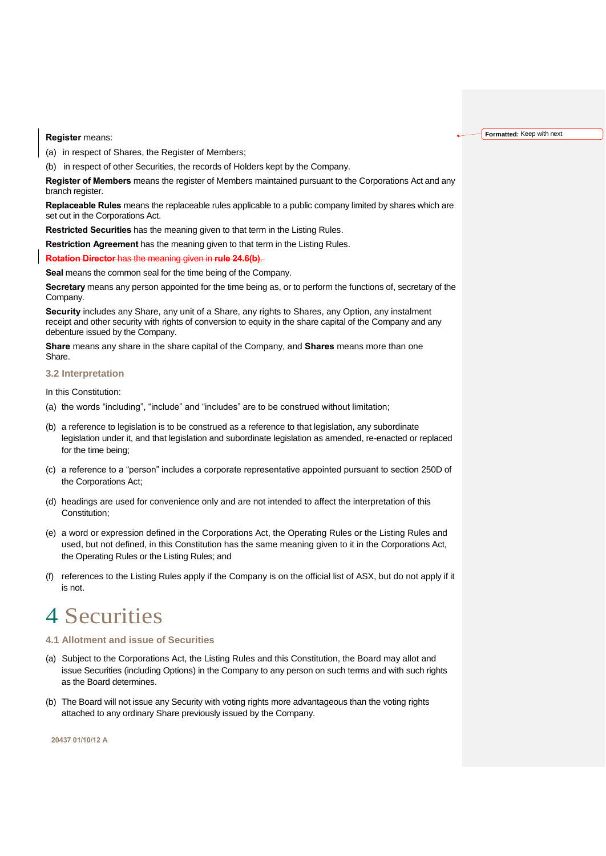**Register** means:

(a) in respect of Shares, the Register of Members;

(b) in respect of other Securities, the records of Holders kept by the Company.

**Register of Members** means the register of Members maintained pursuant to the Corporations Act and any branch register.

**Replaceable Rules** means the replaceable rules applicable to a public company limited by shares which are set out in the Corporations Act.

**Restricted Securities** has the meaning given to that term in the Listing Rules.

**Restriction Agreement** has the meaning given to that term in the Listing Rules.

**Rotation Director** has the meaning given in **rule 24.6(b)**.

**Seal** means the common seal for the time being of the Company.

**Secretary** means any person appointed for the time being as, or to perform the functions of, secretary of the Company.

**Security** includes any Share, any unit of a Share, any rights to Shares, any Option, any instalment receipt and other security with rights of conversion to equity in the share capital of the Company and any debenture issued by the Company.

**Share** means any share in the share capital of the Company, and **Shares** means more than one Share.

### <span id="page-9-0"></span>**3.2 Interpretation**

In this Constitution:

- (a) the words "including", "include" and "includes" are to be construed without limitation;
- (b) a reference to legislation is to be construed as a reference to that legislation, any subordinate legislation under it, and that legislation and subordinate legislation as amended, re-enacted or replaced for the time being;
- (c) a reference to a "person" includes a corporate representative appointed pursuant to section 250D of the Corporations Act;
- (d) headings are used for convenience only and are not intended to affect the interpretation of this Constitution;
- (e) a word or expression defined in the Corporations Act, the Operating Rules or the Listing Rules and used, but not defined, in this Constitution has the same meaning given to it in the Corporations Act, the Operating Rules or the Listing Rules; and
- (f) references to the Listing Rules apply if the Company is on the official list of ASX, but do not apply if it is not.

# <span id="page-9-1"></span>4 Securities

- <span id="page-9-2"></span>**4.1 Allotment and issue of Securities**
- (a) Subject to the Corporations Act, the Listing Rules and this Constitution, the Board may allot and issue Securities (including Options) in the Company to any person on such terms and with such rights as the Board determines.
- (b) The Board will not issue any Security with voting rights more advantageous than the voting rights attached to any ordinary Share previously issued by the Company.

**20437 01/10/12 A**

#### **Formatted:** Keep with next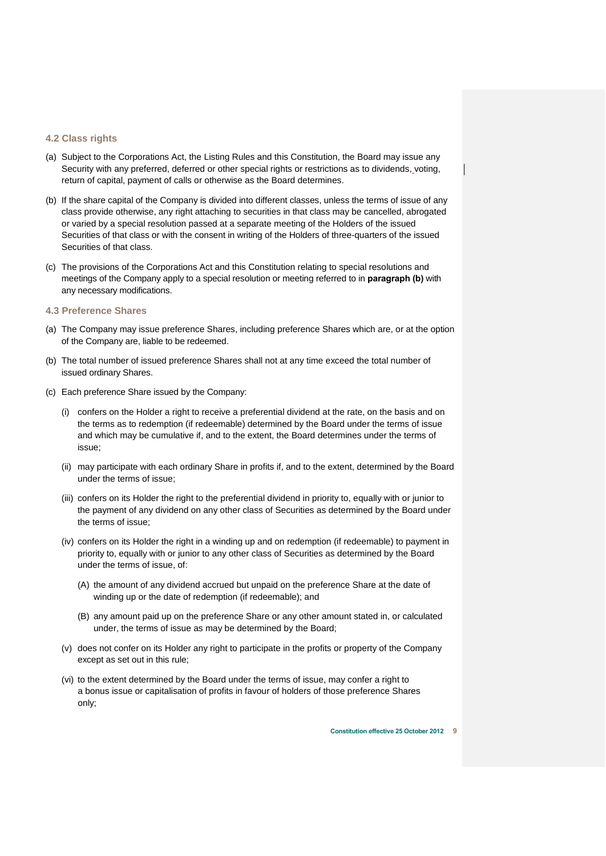# <span id="page-10-0"></span>**4.2 Class rights**

- (a) Subject to the Corporations Act, the Listing Rules and this Constitution, the Board may issue any Security with any preferred, deferred or other special rights or restrictions as to dividends, voting, return of capital, payment of calls or otherwise as the Board determines.
- (b) If the share capital of the Company is divided into different classes, unless the terms of issue of any class provide otherwise, any right attaching to securities in that class may be cancelled, abrogated or varied by a special resolution passed at a separate meeting of the Holders of the issued Securities of that class or with the consent in writing of the Holders of three-quarters of the issued Securities of that class.
- (c) The provisions of the Corporations Act and this Constitution relating to special resolutions and meetings of the Company apply to a special resolution or meeting referred to in **paragraph (b)** with any necessary modifications.

# <span id="page-10-1"></span>**4.3 Preference Shares**

- (a) The Company may issue preference Shares, including preference Shares which are, or at the option of the Company are, liable to be redeemed.
- (b) The total number of issued preference Shares shall not at any time exceed the total number of issued ordinary Shares.
- (c) Each preference Share issued by the Company:
	- (i) confers on the Holder a right to receive a preferential dividend at the rate, on the basis and on the terms as to redemption (if redeemable) determined by the Board under the terms of issue and which may be cumulative if, and to the extent, the Board determines under the terms of issue;
	- (ii) may participate with each ordinary Share in profits if, and to the extent, determined by the Board under the terms of issue;
	- (iii) confers on its Holder the right to the preferential dividend in priority to, equally with or junior to the payment of any dividend on any other class of Securities as determined by the Board under the terms of issue;
	- (iv) confers on its Holder the right in a winding up and on redemption (if redeemable) to payment in priority to, equally with or junior to any other class of Securities as determined by the Board under the terms of issue, of:
		- (A) the amount of any dividend accrued but unpaid on the preference Share at the date of winding up or the date of redemption (if redeemable); and
		- (B) any amount paid up on the preference Share or any other amount stated in, or calculated under, the terms of issue as may be determined by the Board;
	- (v) does not confer on its Holder any right to participate in the profits or property of the Company except as set out in this rule;
	- (vi) to the extent determined by the Board under the terms of issue, may confer a right to a bonus issue or capitalisation of profits in favour of holders of those preference Shares only;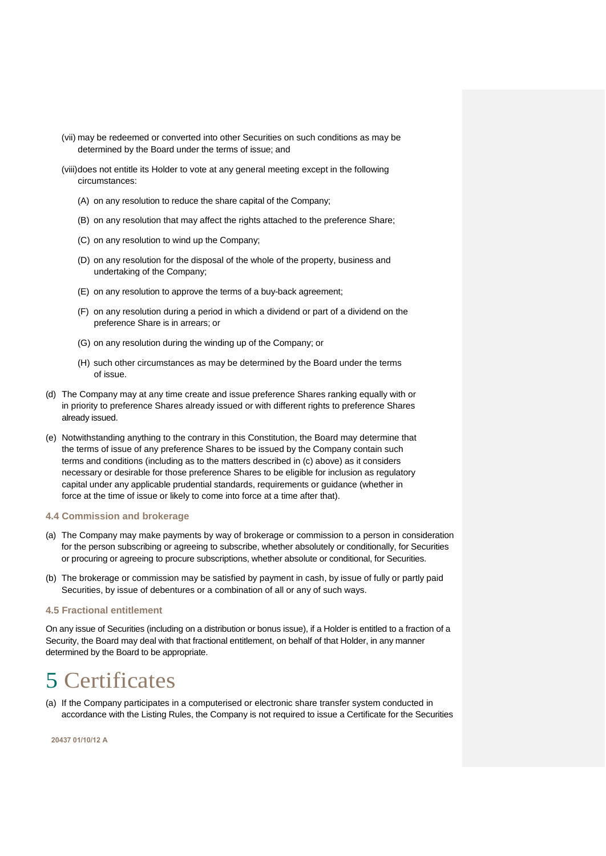- (vii) may be redeemed or converted into other Securities on such conditions as may be determined by the Board under the terms of issue; and
- (viii)does not entitle its Holder to vote at any general meeting except in the following circumstances:
	- (A) on any resolution to reduce the share capital of the Company;
	- (B) on any resolution that may affect the rights attached to the preference Share;
	- (C) on any resolution to wind up the Company;
	- (D) on any resolution for the disposal of the whole of the property, business and undertaking of the Company;
	- (E) on any resolution to approve the terms of a buy-back agreement;
	- (F) on any resolution during a period in which a dividend or part of a dividend on the preference Share is in arrears; or
	- (G) on any resolution during the winding up of the Company; or
	- (H) such other circumstances as may be determined by the Board under the terms of issue.
- (d) The Company may at any time create and issue preference Shares ranking equally with or in priority to preference Shares already issued or with different rights to preference Shares already issued.
- (e) Notwithstanding anything to the contrary in this Constitution, the Board may determine that the terms of issue of any preference Shares to be issued by the Company contain such terms and conditions (including as to the matters described in (c) above) as it considers necessary or desirable for those preference Shares to be eligible for inclusion as regulatory capital under any applicable prudential standards, requirements or guidance (whether in force at the time of issue or likely to come into force at a time after that).

### <span id="page-11-0"></span>**4.4 Commission and brokerage**

- (a) The Company may make payments by way of brokerage or commission to a person in consideration for the person subscribing or agreeing to subscribe, whether absolutely or conditionally, for Securities or procuring or agreeing to procure subscriptions, whether absolute or conditional, for Securities.
- (b) The brokerage or commission may be satisfied by payment in cash, by issue of fully or partly paid Securities, by issue of debentures or a combination of all or any of such ways.

### <span id="page-11-1"></span>**4.5 Fractional entitlement**

On any issue of Securities (including on a distribution or bonus issue), if a Holder is entitled to a fraction of a Security, the Board may deal with that fractional entitlement, on behalf of that Holder, in any manner determined by the Board to be appropriate.

# <span id="page-11-2"></span>5 Certificates

(a) If the Company participates in a computerised or electronic share transfer system conducted in accordance with the Listing Rules, the Company is not required to issue a Certificate for the Securities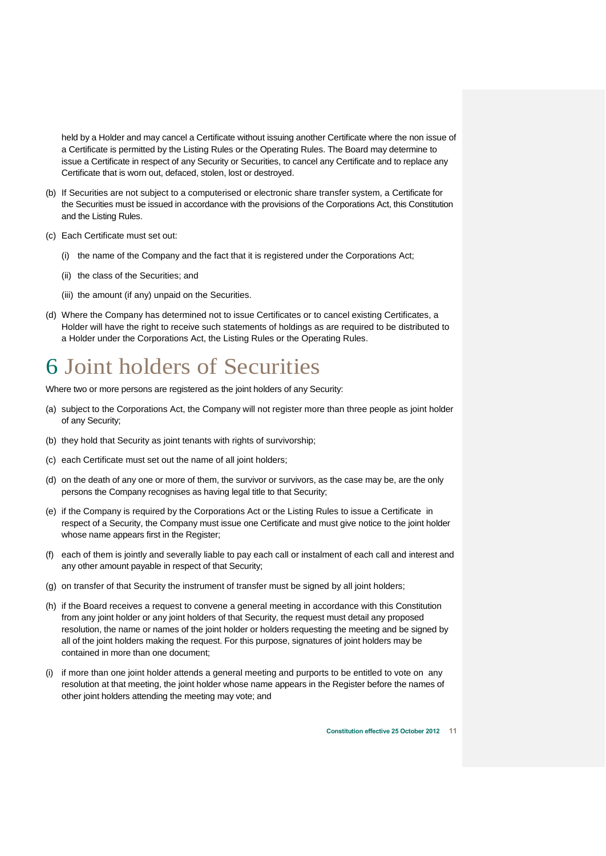held by a Holder and may cancel a Certificate without issuing another Certificate where the non issue of a Certificate is permitted by the Listing Rules or the Operating Rules. The Board may determine to issue a Certificate in respect of any Security or Securities, to cancel any Certificate and to replace any Certificate that is worn out, defaced, stolen, lost or destroyed.

- (b) If Securities are not subject to a computerised or electronic share transfer system, a Certificate for the Securities must be issued in accordance with the provisions of the Corporations Act, this Constitution and the Listing Rules.
- (c) Each Certificate must set out:
	- (i) the name of the Company and the fact that it is registered under the Corporations Act;
	- (ii) the class of the Securities; and
	- (iii) the amount (if any) unpaid on the Securities.
- (d) Where the Company has determined not to issue Certificates or to cancel existing Certificates, a Holder will have the right to receive such statements of holdings as are required to be distributed to a Holder under the Corporations Act, the Listing Rules or the Operating Rules.

# <span id="page-12-0"></span>6 Joint holders of Securities

Where two or more persons are registered as the joint holders of any Security:

- (a) subject to the Corporations Act, the Company will not register more than three people as joint holder of any Security;
- (b) they hold that Security as joint tenants with rights of survivorship;
- (c) each Certificate must set out the name of all joint holders;
- (d) on the death of any one or more of them, the survivor or survivors, as the case may be, are the only persons the Company recognises as having legal title to that Security;
- (e) if the Company is required by the Corporations Act or the Listing Rules to issue a Certificate in respect of a Security, the Company must issue one Certificate and must give notice to the joint holder whose name appears first in the Register;
- (f) each of them is jointly and severally liable to pay each call or instalment of each call and interest and any other amount payable in respect of that Security;
- (g) on transfer of that Security the instrument of transfer must be signed by all joint holders;
- (h) if the Board receives a request to convene a general meeting in accordance with this Constitution from any joint holder or any joint holders of that Security, the request must detail any proposed resolution, the name or names of the joint holder or holders requesting the meeting and be signed by all of the joint holders making the request. For this purpose, signatures of joint holders may be contained in more than one document;
- (i) if more than one joint holder attends a general meeting and purports to be entitled to vote on any resolution at that meeting, the joint holder whose name appears in the Register before the names of other joint holders attending the meeting may vote; and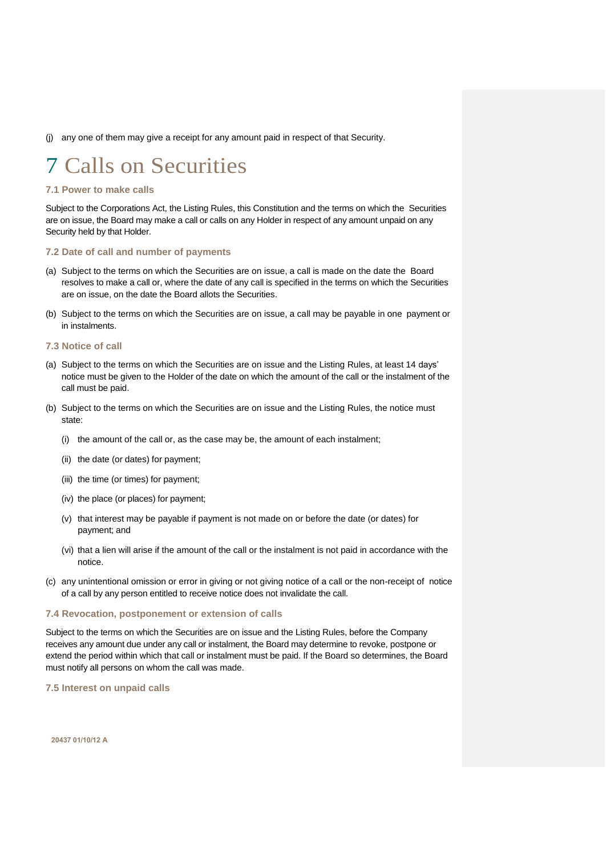(j) any one of them may give a receipt for any amount paid in respect of that Security.

# <span id="page-13-0"></span>7 Calls on Securities

# <span id="page-13-1"></span>**7.1 Power to make calls**

Subject to the Corporations Act, the Listing Rules, this Constitution and the terms on which the Securities are on issue, the Board may make a call or calls on any Holder in respect of any amount unpaid on any Security held by that Holder.

### <span id="page-13-2"></span>**7.2 Date of call and number of payments**

- (a) Subject to the terms on which the Securities are on issue, a call is made on the date the Board resolves to make a call or, where the date of any call is specified in the terms on which the Securities are on issue, on the date the Board allots the Securities.
- (b) Subject to the terms on which the Securities are on issue, a call may be payable in one payment or in instalments.

# <span id="page-13-3"></span>**7.3 Notice of call**

- (a) Subject to the terms on which the Securities are on issue and the Listing Rules, at least 14 days' notice must be given to the Holder of the date on which the amount of the call or the instalment of the call must be paid.
- (b) Subject to the terms on which the Securities are on issue and the Listing Rules, the notice must state:
	- (i) the amount of the call or, as the case may be, the amount of each instalment;
	- (ii) the date (or dates) for payment;
	- (iii) the time (or times) for payment;
	- (iv) the place (or places) for payment;
	- (v) that interest may be payable if payment is not made on or before the date (or dates) for payment; and
	- (vi) that a lien will arise if the amount of the call or the instalment is not paid in accordance with the notice.
- (c) any unintentional omission or error in giving or not giving notice of a call or the non-receipt of notice of a call by any person entitled to receive notice does not invalidate the call.

# <span id="page-13-4"></span>**7.4 Revocation, postponement or extension of calls**

Subject to the terms on which the Securities are on issue and the Listing Rules, before the Company receives any amount due under any call or instalment, the Board may determine to revoke, postpone or extend the period within which that call or instalment must be paid. If the Board so determines, the Board must notify all persons on whom the call was made.

<span id="page-13-5"></span>**7.5 Interest on unpaid calls**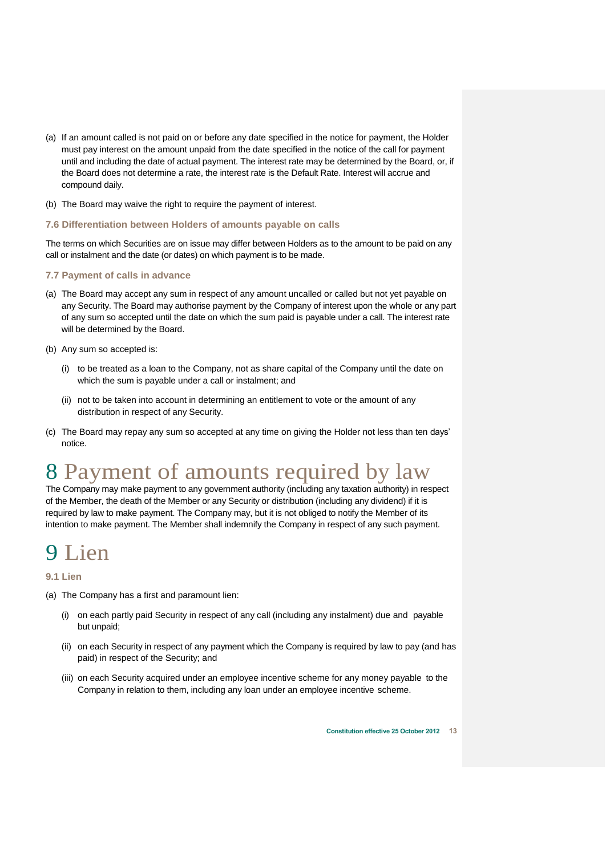- (a) If an amount called is not paid on or before any date specified in the notice for payment, the Holder must pay interest on the amount unpaid from the date specified in the notice of the call for payment until and including the date of actual payment. The interest rate may be determined by the Board, or, if the Board does not determine a rate, the interest rate is the Default Rate. Interest will accrue and compound daily.
- (b) The Board may waive the right to require the payment of interest.

# <span id="page-14-0"></span>**7.6 Differentiation between Holders of amounts payable on calls**

The terms on which Securities are on issue may differ between Holders as to the amount to be paid on any call or instalment and the date (or dates) on which payment is to be made.

# <span id="page-14-1"></span>**7.7 Payment of calls in advance**

- (a) The Board may accept any sum in respect of any amount uncalled or called but not yet payable on any Security. The Board may authorise payment by the Company of interest upon the whole or any part of any sum so accepted until the date on which the sum paid is payable under a call. The interest rate will be determined by the Board.
- (b) Any sum so accepted is:
	- (i) to be treated as a loan to the Company, not as share capital of the Company until the date on which the sum is payable under a call or instalment; and
	- (ii) not to be taken into account in determining an entitlement to vote or the amount of any distribution in respect of any Security.
- (c) The Board may repay any sum so accepted at any time on giving the Holder not less than ten days' notice.

# <span id="page-14-2"></span>8 Payment of amounts required by law

The Company may make payment to any government authority (including any taxation authority) in respect of the Member, the death of the Member or any Security or distribution (including any dividend) if it is required by law to make payment. The Company may, but it is not obliged to notify the Member of its intention to make payment. The Member shall indemnify the Company in respect of any such payment.

# <span id="page-14-3"></span>Lien

# <span id="page-14-4"></span>**9.1 Lien**

- (a) The Company has a first and paramount lien:
	- (i) on each partly paid Security in respect of any call (including any instalment) due and payable but unpaid;
	- (ii) on each Security in respect of any payment which the Company is required by law to pay (and has paid) in respect of the Security; and
	- (iii) on each Security acquired under an employee incentive scheme for any money payable to the Company in relation to them, including any loan under an employee incentive scheme.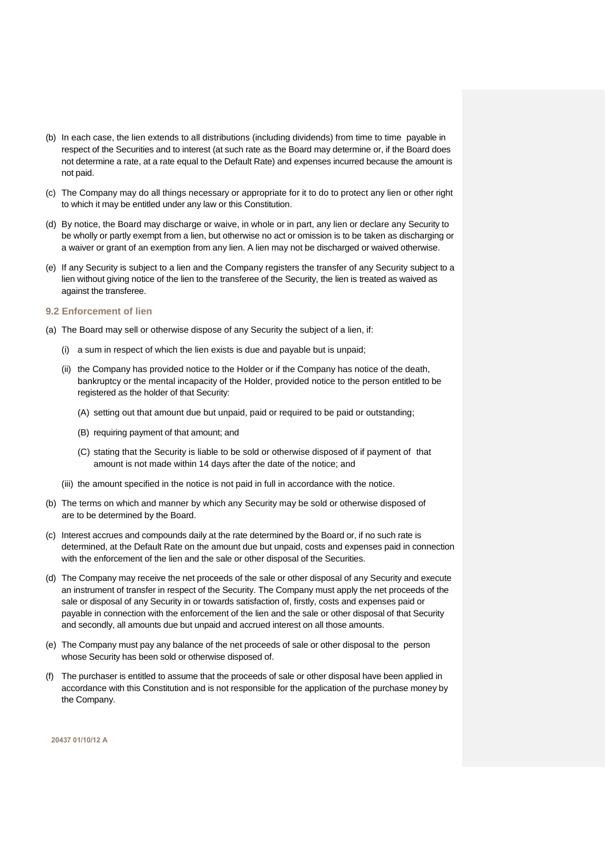- (b) In each case, the lien extends to all distributions (including dividends) from time to time payable in respect of the Securities and to interest (at such rate as the Board may determine or, if the Board does not determine a rate, at a rate equal to the Default Rate) and expenses incurred because the amount is not paid.
- (c) The Company may do all things necessary or appropriate for it to do to protect any lien or other right to which it may be entitled under any law or this Constitution.
- (d) By notice, the Board may discharge or waive, in whole or in part, any lien or declare any Security to be wholly or partly exempt from a lien, but otherwise no act or omission is to be taken as discharging or a waiver or grant of an exemption from any lien. A lien may not be discharged or waived otherwise.
- (e) If any Security is subject to a lien and the Company registers the transfer of any Security subject to a lien without giving notice of the lien to the transferee of the Security, the lien is treated as waived as against the transferee.

### <span id="page-15-0"></span>**9.2 Enforcement of lien**

- (a) The Board may sell or otherwise dispose of any Security the subject of a lien, if:
	- (i) a sum in respect of which the lien exists is due and payable but is unpaid;
	- (ii) the Company has provided notice to the Holder or if the Company has notice of the death, bankruptcy or the mental incapacity of the Holder, provided notice to the person entitled to be registered as the holder of that Security:
		- (A) setting out that amount due but unpaid, paid or required to be paid or outstanding;
		- (B) requiring payment of that amount; and
		- (C) stating that the Security is liable to be sold or otherwise disposed of if payment of that amount is not made within 14 days after the date of the notice; and
	- (iii) the amount specified in the notice is not paid in full in accordance with the notice.
- (b) The terms on which and manner by which any Security may be sold or otherwise disposed of are to be determined by the Board.
- (c) Interest accrues and compounds daily at the rate determined by the Board or, if no such rate is determined, at the Default Rate on the amount due but unpaid, costs and expenses paid in connection with the enforcement of the lien and the sale or other disposal of the Securities.
- (d) The Company may receive the net proceeds of the sale or other disposal of any Security and execute an instrument of transfer in respect of the Security. The Company must apply the net proceeds of the sale or disposal of any Security in or towards satisfaction of, firstly, costs and expenses paid or payable in connection with the enforcement of the lien and the sale or other disposal of that Security and secondly, all amounts due but unpaid and accrued interest on all those amounts.
- (e) The Company must pay any balance of the net proceeds of sale or other disposal to the person whose Security has been sold or otherwise disposed of.
- (f) The purchaser is entitled to assume that the proceeds of sale or other disposal have been applied in accordance with this Constitution and is not responsible for the application of the purchase money by the Company.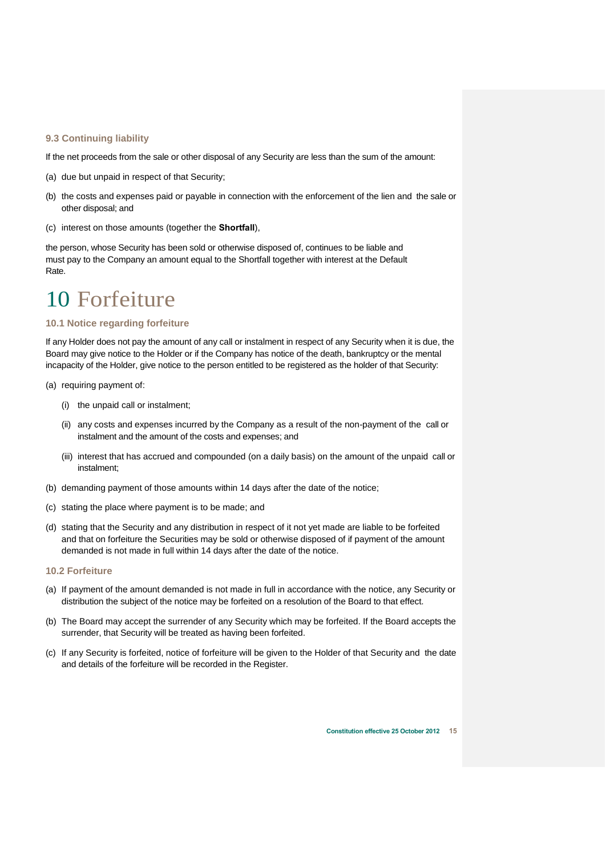# <span id="page-16-0"></span>**9.3 Continuing liability**

- If the net proceeds from the sale or other disposal of any Security are less than the sum of the amount:
- (a) due but unpaid in respect of that Security;
- (b) the costs and expenses paid or payable in connection with the enforcement of the lien and the sale or other disposal; and
- (c) interest on those amounts (together the **Shortfall**),

the person, whose Security has been sold or otherwise disposed of, continues to be liable and must pay to the Company an amount equal to the Shortfall together with interest at the Default Rate.

# <span id="page-16-1"></span>10 Forfeiture

# <span id="page-16-2"></span>**10.1 Notice regarding forfeiture**

If any Holder does not pay the amount of any call or instalment in respect of any Security when it is due, the Board may give notice to the Holder or if the Company has notice of the death, bankruptcy or the mental incapacity of the Holder, give notice to the person entitled to be registered as the holder of that Security:

- (a) requiring payment of:
	- (i) the unpaid call or instalment;
	- (ii) any costs and expenses incurred by the Company as a result of the non-payment of the call or instalment and the amount of the costs and expenses; and
	- (iii) interest that has accrued and compounded (on a daily basis) on the amount of the unpaid call or instalment;
- (b) demanding payment of those amounts within 14 days after the date of the notice;
- (c) stating the place where payment is to be made; and
- (d) stating that the Security and any distribution in respect of it not yet made are liable to be forfeited and that on forfeiture the Securities may be sold or otherwise disposed of if payment of the amount demanded is not made in full within 14 days after the date of the notice.

# <span id="page-16-3"></span>**10.2 Forfeiture**

- (a) If payment of the amount demanded is not made in full in accordance with the notice, any Security or distribution the subject of the notice may be forfeited on a resolution of the Board to that effect.
- (b) The Board may accept the surrender of any Security which may be forfeited. If the Board accepts the surrender, that Security will be treated as having been forfeited.
- (c) If any Security is forfeited, notice of forfeiture will be given to the Holder of that Security and the date and details of the forfeiture will be recorded in the Register.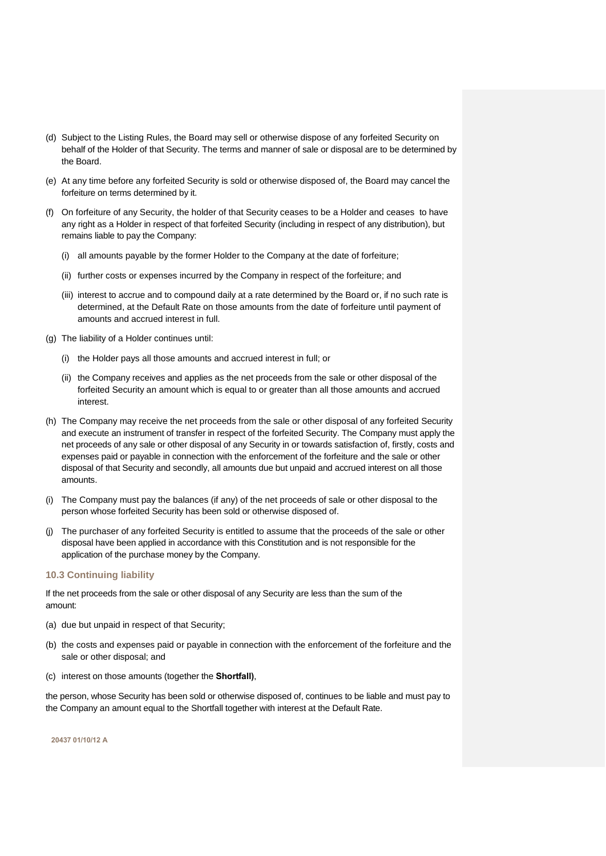- (d) Subject to the Listing Rules, the Board may sell or otherwise dispose of any forfeited Security on behalf of the Holder of that Security. The terms and manner of sale or disposal are to be determined by the Board.
- (e) At any time before any forfeited Security is sold or otherwise disposed of, the Board may cancel the forfeiture on terms determined by it.
- (f) On forfeiture of any Security, the holder of that Security ceases to be a Holder and ceases to have any right as a Holder in respect of that forfeited Security (including in respect of any distribution), but remains liable to pay the Company:
	- (i) all amounts payable by the former Holder to the Company at the date of forfeiture;
	- (ii) further costs or expenses incurred by the Company in respect of the forfeiture; and
	- (iii) interest to accrue and to compound daily at a rate determined by the Board or, if no such rate is determined, at the Default Rate on those amounts from the date of forfeiture until payment of amounts and accrued interest in full.
- (g) The liability of a Holder continues until:
	- (i) the Holder pays all those amounts and accrued interest in full; or
	- (ii) the Company receives and applies as the net proceeds from the sale or other disposal of the forfeited Security an amount which is equal to or greater than all those amounts and accrued interest.
- (h) The Company may receive the net proceeds from the sale or other disposal of any forfeited Security and execute an instrument of transfer in respect of the forfeited Security. The Company must apply the net proceeds of any sale or other disposal of any Security in or towards satisfaction of, firstly, costs and expenses paid or payable in connection with the enforcement of the forfeiture and the sale or other disposal of that Security and secondly, all amounts due but unpaid and accrued interest on all those amounts.
- (i) The Company must pay the balances (if any) of the net proceeds of sale or other disposal to the person whose forfeited Security has been sold or otherwise disposed of.
- (j) The purchaser of any forfeited Security is entitled to assume that the proceeds of the sale or other disposal have been applied in accordance with this Constitution and is not responsible for the application of the purchase money by the Company.

# <span id="page-17-0"></span>**10.3 Continuing liability**

If the net proceeds from the sale or other disposal of any Security are less than the sum of the amount:

- (a) due but unpaid in respect of that Security;
- (b) the costs and expenses paid or payable in connection with the enforcement of the forfeiture and the sale or other disposal; and
- (c) interest on those amounts (together the **Shortfall)**,

the person, whose Security has been sold or otherwise disposed of, continues to be liable and must pay to the Company an amount equal to the Shortfall together with interest at the Default Rate.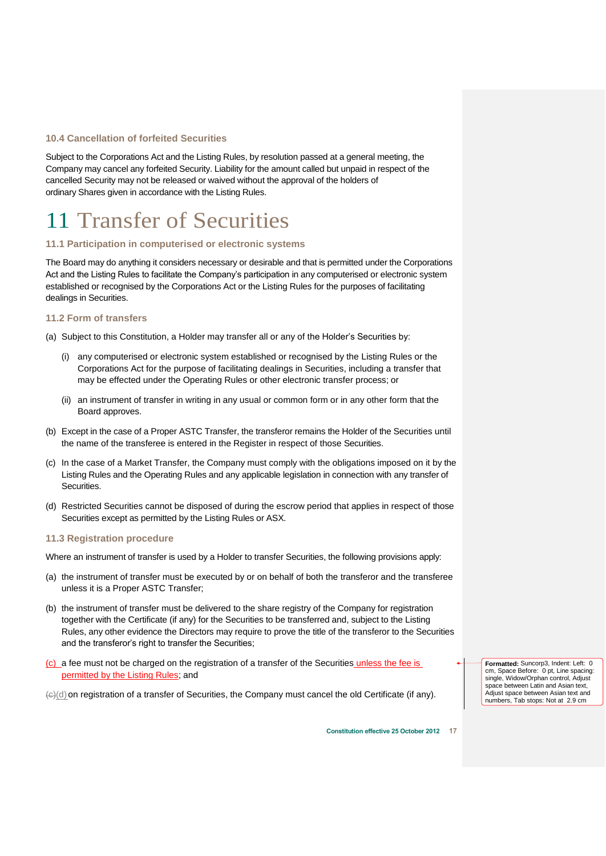# <span id="page-18-0"></span>**10.4 Cancellation of forfeited Securities**

Subject to the Corporations Act and the Listing Rules, by resolution passed at a general meeting, the Company may cancel any forfeited Security. Liability for the amount called but unpaid in respect of the cancelled Security may not be released or waived without the approval of the holders of ordinary Shares given in accordance with the Listing Rules.

# <span id="page-18-1"></span>11 Transfer of Securities

# <span id="page-18-2"></span>**11.1 Participation in computerised or electronic systems**

The Board may do anything it considers necessary or desirable and that is permitted under the Corporations Act and the Listing Rules to facilitate the Company's participation in any computerised or electronic system established or recognised by the Corporations Act or the Listing Rules for the purposes of facilitating dealings in Securities.

# <span id="page-18-3"></span>**11.2 Form of transfers**

- (a) Subject to this Constitution, a Holder may transfer all or any of the Holder's Securities by:
	- (i) any computerised or electronic system established or recognised by the Listing Rules or the Corporations Act for the purpose of facilitating dealings in Securities, including a transfer that may be effected under the Operating Rules or other electronic transfer process; or
	- (ii) an instrument of transfer in writing in any usual or common form or in any other form that the Board approves.
- (b) Except in the case of a Proper ASTC Transfer, the transferor remains the Holder of the Securities until the name of the transferee is entered in the Register in respect of those Securities.
- (c) In the case of a Market Transfer, the Company must comply with the obligations imposed on it by the Listing Rules and the Operating Rules and any applicable legislation in connection with any transfer of Securities.
- (d) Restricted Securities cannot be disposed of during the escrow period that applies in respect of those Securities except as permitted by the Listing Rules or ASX.

# <span id="page-18-4"></span>**11.3 Registration procedure**

Where an instrument of transfer is used by a Holder to transfer Securities, the following provisions apply:

- (a) the instrument of transfer must be executed by or on behalf of both the transferor and the transferee unless it is a Proper ASTC Transfer;
- (b) the instrument of transfer must be delivered to the share registry of the Company for registration together with the Certificate (if any) for the Securities to be transferred and, subject to the Listing Rules, any other evidence the Directors may require to prove the title of the transferor to the Securities and the transferor's right to transfer the Securities;
- (c) a fee must not be charged on the registration of a transfer of the Securities unless the fee is permitted by the Listing Rules; and

 $\leftrightarrow$  (d) on registration of a transfer of Securities, the Company must cancel the old Certificate (if any).

**Formatted:** Suncorp3, Indent: Left: 0 cm, Space Before: 0 pt, Line spacing: single, Widow/Orphan control, Adjust space between Latin and Asian text, Adjust space between Asian text and numbers, Tab stops: Not at 2.9 cm

**Constitution effective 25 October 2012**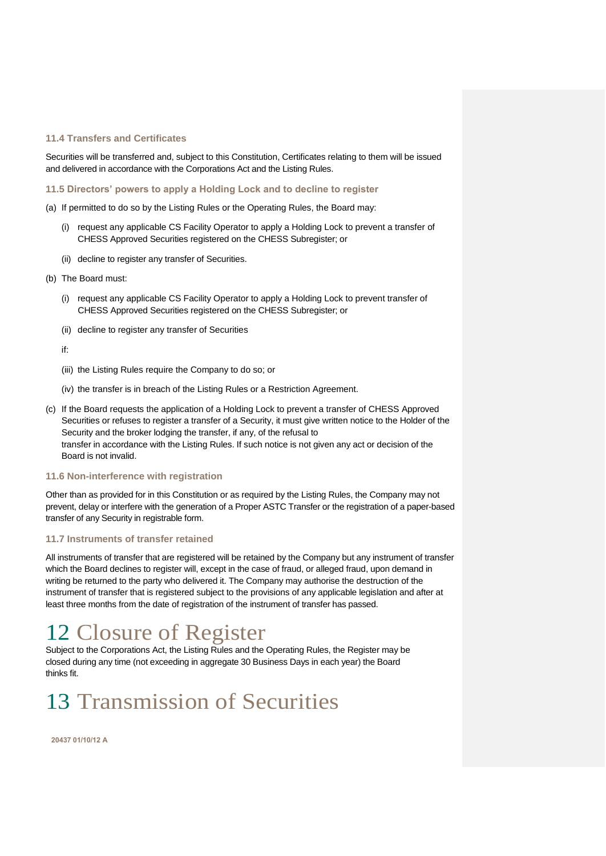# <span id="page-19-0"></span>**11.4 Transfers and Certificates**

Securities will be transferred and, subject to this Constitution, Certificates relating to them will be issued and delivered in accordance with the Corporations Act and the Listing Rules.

<span id="page-19-1"></span>**11.5 Directors' powers to apply a Holding Lock and to decline to register** 

- (a) If permitted to do so by the Listing Rules or the Operating Rules, the Board may:
	- (i) request any applicable CS Facility Operator to apply a Holding Lock to prevent a transfer of CHESS Approved Securities registered on the CHESS Subregister; or
	- (ii) decline to register any transfer of Securities.
- (b) The Board must:
	- (i) request any applicable CS Facility Operator to apply a Holding Lock to prevent transfer of CHESS Approved Securities registered on the CHESS Subregister; or
	- (ii) decline to register any transfer of Securities
	- if:
	- (iii) the Listing Rules require the Company to do so; or
	- (iv) the transfer is in breach of the Listing Rules or a Restriction Agreement.
- (c) If the Board requests the application of a Holding Lock to prevent a transfer of CHESS Approved Securities or refuses to register a transfer of a Security, it must give written notice to the Holder of the Security and the broker lodging the transfer, if any, of the refusal to transfer in accordance with the Listing Rules. If such notice is not given any act or decision of the Board is not invalid.

# <span id="page-19-2"></span>**11.6 Non-interference with registration**

Other than as provided for in this Constitution or as required by the Listing Rules, the Company may not prevent, delay or interfere with the generation of a Proper ASTC Transfer or the registration of a paper-based transfer of any Security in registrable form.

# <span id="page-19-3"></span>**11.7 Instruments of transfer retained**

All instruments of transfer that are registered will be retained by the Company but any instrument of transfer which the Board declines to register will, except in the case of fraud, or alleged fraud, upon demand in writing be returned to the party who delivered it. The Company may authorise the destruction of the instrument of transfer that is registered subject to the provisions of any applicable legislation and after at least three months from the date of registration of the instrument of transfer has passed.

# <span id="page-19-4"></span>12 Closure of Register

Subject to the Corporations Act, the Listing Rules and the Operating Rules, the Register may be closed during any time (not exceeding in aggregate 30 Business Days in each year) the Board thinks fit.

# <span id="page-19-5"></span>13 Transmission of Securities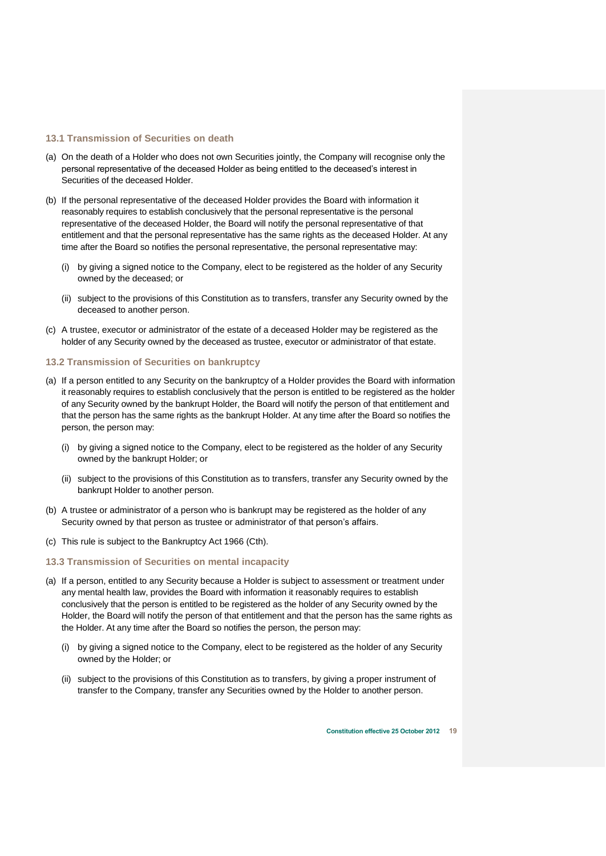# <span id="page-20-0"></span>**13.1 Transmission of Securities on death**

- (a) On the death of a Holder who does not own Securities jointly, the Company will recognise only the personal representative of the deceased Holder as being entitled to the deceased's interest in Securities of the deceased Holder.
- (b) If the personal representative of the deceased Holder provides the Board with information it reasonably requires to establish conclusively that the personal representative is the personal representative of the deceased Holder, the Board will notify the personal representative of that entitlement and that the personal representative has the same rights as the deceased Holder. At any time after the Board so notifies the personal representative, the personal representative may:
	- (i) by giving a signed notice to the Company, elect to be registered as the holder of any Security owned by the deceased; or
	- (ii) subject to the provisions of this Constitution as to transfers, transfer any Security owned by the deceased to another person.
- (c) A trustee, executor or administrator of the estate of a deceased Holder may be registered as the holder of any Security owned by the deceased as trustee, executor or administrator of that estate.

# <span id="page-20-1"></span>**13.2 Transmission of Securities on bankruptcy**

- (a) If a person entitled to any Security on the bankruptcy of a Holder provides the Board with information it reasonably requires to establish conclusively that the person is entitled to be registered as the holder of any Security owned by the bankrupt Holder, the Board will notify the person of that entitlement and that the person has the same rights as the bankrupt Holder. At any time after the Board so notifies the person, the person may:
	- (i) by giving a signed notice to the Company, elect to be registered as the holder of any Security owned by the bankrupt Holder; or
	- (ii) subject to the provisions of this Constitution as to transfers, transfer any Security owned by the bankrupt Holder to another person.
- (b) A trustee or administrator of a person who is bankrupt may be registered as the holder of any Security owned by that person as trustee or administrator of that person's affairs.
- (c) This rule is subject to the Bankruptcy Act 1966 (Cth).

#### <span id="page-20-2"></span>**13.3 Transmission of Securities on mental incapacity**

- (a) If a person, entitled to any Security because a Holder is subject to assessment or treatment under any mental health law, provides the Board with information it reasonably requires to establish conclusively that the person is entitled to be registered as the holder of any Security owned by the Holder, the Board will notify the person of that entitlement and that the person has the same rights as the Holder. At any time after the Board so notifies the person, the person may:
	- (i) by giving a signed notice to the Company, elect to be registered as the holder of any Security owned by the Holder; or
	- (ii) subject to the provisions of this Constitution as to transfers, by giving a proper instrument of transfer to the Company, transfer any Securities owned by the Holder to another person.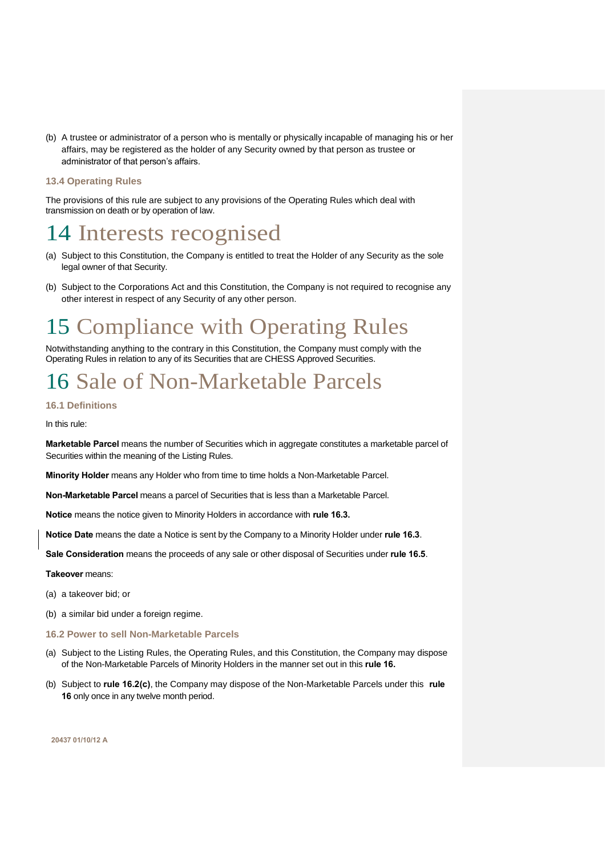(b) A trustee or administrator of a person who is mentally or physically incapable of managing his or her affairs, may be registered as the holder of any Security owned by that person as trustee or administrator of that person's affairs.

# <span id="page-21-0"></span>**13.4 Operating Rules**

The provisions of this rule are subject to any provisions of the Operating Rules which deal with transmission on death or by operation of law.

# <span id="page-21-1"></span>14 Interests recognised

- (a) Subject to this Constitution, the Company is entitled to treat the Holder of any Security as the sole legal owner of that Security.
- (b) Subject to the Corporations Act and this Constitution, the Company is not required to recognise any other interest in respect of any Security of any other person.

# <span id="page-21-2"></span>15 Compliance with Operating Rules

Notwithstanding anything to the contrary in this Constitution, the Company must comply with the Operating Rules in relation to any of its Securities that are CHESS Approved Securities.

# <span id="page-21-3"></span>16 Sale of Non-Marketable Parcels

# <span id="page-21-4"></span>**16.1 Definitions**

In this rule:

**Marketable Parcel** means the number of Securities which in aggregate constitutes a marketable parcel of Securities within the meaning of the Listing Rules.

**Minority Holder** means any Holder who from time to time holds a Non-Marketable Parcel.

**Non-Marketable Parcel** means a parcel of Securities that is less than a Marketable Parcel.

**Notice** means the notice given to Minority Holders in accordance with **rule [16.3.](#page-22-0)** 

**Notice Date** means the date a Notice is sent by the Company to a Minority Holder under **rule [16.3](#page-22-0)**.

**Sale Consideration** means the proceeds of any sale or other disposal of Securities under **rule [16.5](#page-22-2)**.

### **Takeover** means:

- (a) a takeover bid; or
- (b) a similar bid under a foreign regime.
- <span id="page-21-5"></span>**16.2 Power to sell Non-Marketable Parcels**
- (a) Subject to the Listing Rules, the Operating Rules, and this Constitution, the Company may dispose of the Non-Marketable Parcels of Minority Holders in the manner set out in this **rule [16.](#page-21-3)**
- (b) Subject to **rule [16.2\(c\)](#page-22-3)**, the Company may dispose of the Non-Marketable Parcels under this **rule [16](#page-21-3)** only once in any twelve month period.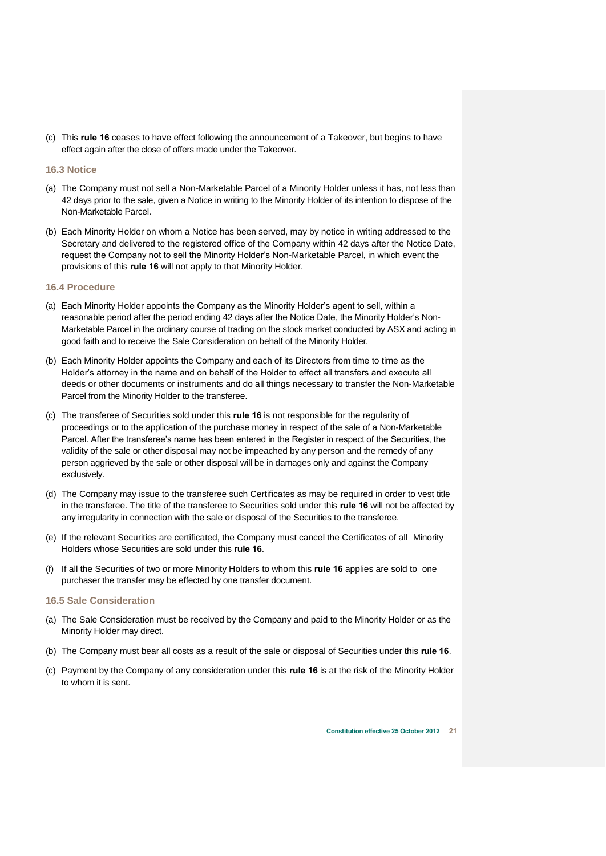<span id="page-22-3"></span>(c) This **rule [16](#page-21-3)** ceases to have effect following the announcement of a Takeover, but begins to have effect again after the close of offers made under the Takeover.

# <span id="page-22-0"></span>**16.3 Notice**

- (a) The Company must not sell a Non-Marketable Parcel of a Minority Holder unless it has, not less than 42 days prior to the sale, given a Notice in writing to the Minority Holder of its intention to dispose of the Non-Marketable Parcel.
- (b) Each Minority Holder on whom a Notice has been served, may by notice in writing addressed to the Secretary and delivered to the registered office of the Company within 42 days after the Notice Date, request the Company not to sell the Minority Holder's Non-Marketable Parcel, in which event the provisions of this **rule [16](#page-21-3)** will not apply to that Minority Holder.

# <span id="page-22-1"></span>**16.4 Procedure**

- (a) Each Minority Holder appoints the Company as the Minority Holder's agent to sell, within a reasonable period after the period ending 42 days after the Notice Date, the Minority Holder's Non-Marketable Parcel in the ordinary course of trading on the stock market conducted by ASX and acting in good faith and to receive the Sale Consideration on behalf of the Minority Holder.
- (b) Each Minority Holder appoints the Company and each of its Directors from time to time as the Holder's attorney in the name and on behalf of the Holder to effect all transfers and execute all deeds or other documents or instruments and do all things necessary to transfer the Non-Marketable Parcel from the Minority Holder to the transferee.
- (c) The transferee of Securities sold under this **rule [16](#page-21-3)** is not responsible for the regularity of proceedings or to the application of the purchase money in respect of the sale of a Non-Marketable Parcel. After the transferee's name has been entered in the Register in respect of the Securities, the validity of the sale or other disposal may not be impeached by any person and the remedy of any person aggrieved by the sale or other disposal will be in damages only and against the Company exclusively.
- (d) The Company may issue to the transferee such Certificates as may be required in order to vest title in the transferee. The title of the transferee to Securities sold under this **rule [16](#page-21-3)** will not be affected by any irregularity in connection with the sale or disposal of the Securities to the transferee.
- (e) If the relevant Securities are certificated, the Company must cancel the Certificates of all Minority Holders whose Securities are sold under this **rule [16](#page-21-3)**.
- (f) If all the Securities of two or more Minority Holders to whom this **rule [16](#page-21-3)** applies are sold to one purchaser the transfer may be effected by one transfer document.

### <span id="page-22-2"></span>**16.5 Sale Consideration**

- (a) The Sale Consideration must be received by the Company and paid to the Minority Holder or as the Minority Holder may direct.
- (b) The Company must bear all costs as a result of the sale or disposal of Securities under this **rule [16](#page-21-3)**.
- (c) Payment by the Company of any consideration under this **rule [16](#page-21-3)** is at the risk of the Minority Holder to whom it is sent.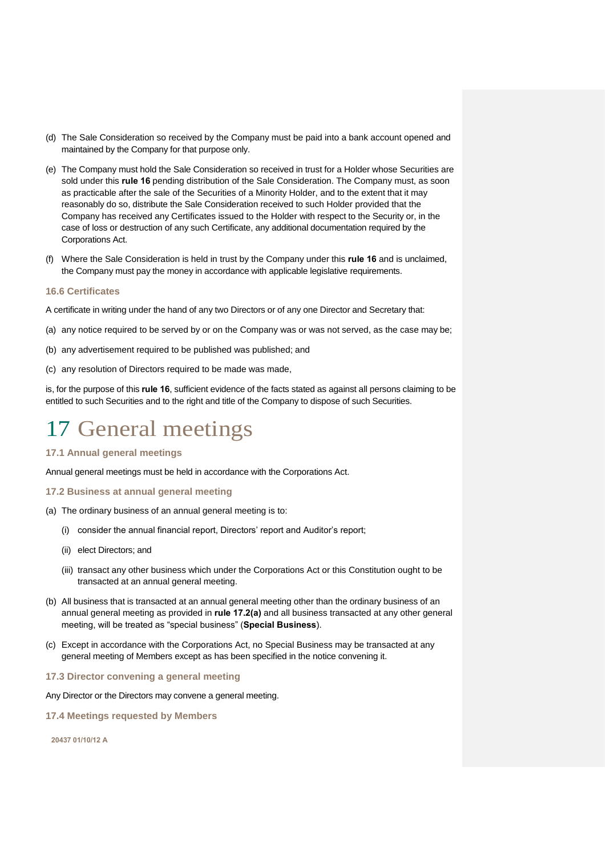- (d) The Sale Consideration so received by the Company must be paid into a bank account opened and maintained by the Company for that purpose only.
- (e) The Company must hold the Sale Consideration so received in trust for a Holder whose Securities are sold under this **rule [16](#page-21-3)** pending distribution of the Sale Consideration. The Company must, as soon as practicable after the sale of the Securities of a Minority Holder, and to the extent that it may reasonably do so, distribute the Sale Consideration received to such Holder provided that the Company has received any Certificates issued to the Holder with respect to the Security or, in the case of loss or destruction of any such Certificate, any additional documentation required by the Corporations Act.
- (f) Where the Sale Consideration is held in trust by the Company under this **rule [16](#page-21-3)** and is unclaimed, the Company must pay the money in accordance with applicable legislative requirements.

# <span id="page-23-0"></span>**16.6 Certificates**

A certificate in writing under the hand of any two Directors or of any one Director and Secretary that:

- (a) any notice required to be served by or on the Company was or was not served, as the case may be;
- (b) any advertisement required to be published was published; and
- (c) any resolution of Directors required to be made was made,

is, for the purpose of this **rule [16](#page-21-3)**, sufficient evidence of the facts stated as against all persons claiming to be entitled to such Securities and to the right and title of the Company to dispose of such Securities.

# <span id="page-23-1"></span>17 General meetings

<span id="page-23-2"></span>**17.1 Annual general meetings** 

Annual general meetings must be held in accordance with the Corporations Act.

- <span id="page-23-3"></span>**17.2 Business at annual general meeting**
- <span id="page-23-6"></span>(a) The ordinary business of an annual general meeting is to:
	- (i) consider the annual financial report, Directors' report and Auditor's report;
	- (ii) elect Directors; and
	- (iii) transact any other business which under the Corporations Act or this Constitution ought to be transacted at an annual general meeting.
- (b) All business that is transacted at an annual general meeting other than the ordinary business of an annual general meeting as provided in **rule [17.2\(a\)](#page-23-6)** and all business transacted at any other general meeting, will be treated as "special business" (**Special Business**).
- (c) Except in accordance with the Corporations Act, no Special Business may be transacted at any general meeting of Members except as has been specified in the notice convening it.
- <span id="page-23-4"></span>**17.3 Director convening a general meeting**

Any Director or the Directors may convene a general meeting.

<span id="page-23-5"></span>**17.4 Meetings requested by Members**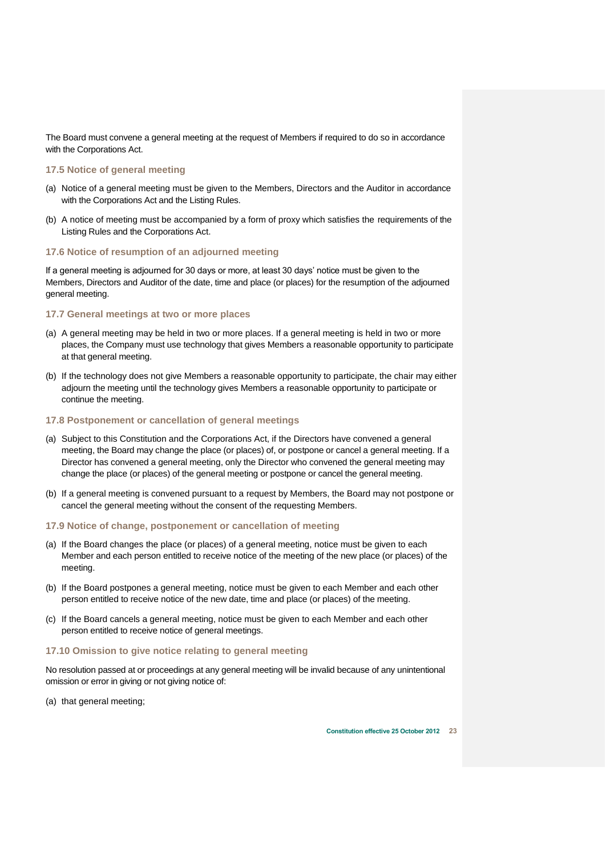The Board must convene a general meeting at the request of Members if required to do so in accordance with the Corporations Act.

# <span id="page-24-0"></span>**17.5 Notice of general meeting**

- (a) Notice of a general meeting must be given to the Members, Directors and the Auditor in accordance with the Corporations Act and the Listing Rules.
- (b) A notice of meeting must be accompanied by a form of proxy which satisfies the requirements of the Listing Rules and the Corporations Act.

# <span id="page-24-1"></span>**17.6 Notice of resumption of an adjourned meeting**

If a general meeting is adjourned for 30 days or more, at least 30 days' notice must be given to the Members, Directors and Auditor of the date, time and place (or places) for the resumption of the adjourned general meeting.

# <span id="page-24-2"></span>**17.7 General meetings at two or more places**

- (a) A general meeting may be held in two or more places. If a general meeting is held in two or more places, the Company must use technology that gives Members a reasonable opportunity to participate at that general meeting.
- (b) If the technology does not give Members a reasonable opportunity to participate, the chair may either adjourn the meeting until the technology gives Members a reasonable opportunity to participate or continue the meeting.

# <span id="page-24-3"></span>**17.8 Postponement or cancellation of general meetings**

- (a) Subject to this Constitution and the Corporations Act, if the Directors have convened a general meeting, the Board may change the place (or places) of, or postpone or cancel a general meeting. If a Director has convened a general meeting, only the Director who convened the general meeting may change the place (or places) of the general meeting or postpone or cancel the general meeting.
- (b) If a general meeting is convened pursuant to a request by Members, the Board may not postpone or cancel the general meeting without the consent of the requesting Members.

# <span id="page-24-4"></span>**17.9 Notice of change, postponement or cancellation of meeting**

- (a) If the Board changes the place (or places) of a general meeting, notice must be given to each Member and each person entitled to receive notice of the meeting of the new place (or places) of the meeting.
- (b) If the Board postpones a general meeting, notice must be given to each Member and each other person entitled to receive notice of the new date, time and place (or places) of the meeting.
- (c) If the Board cancels a general meeting, notice must be given to each Member and each other person entitled to receive notice of general meetings.

### <span id="page-24-5"></span>**17.10 Omission to give notice relating to general meeting**

No resolution passed at or proceedings at any general meeting will be invalid because of any unintentional omission or error in giving or not giving notice of:

(a) that general meeting;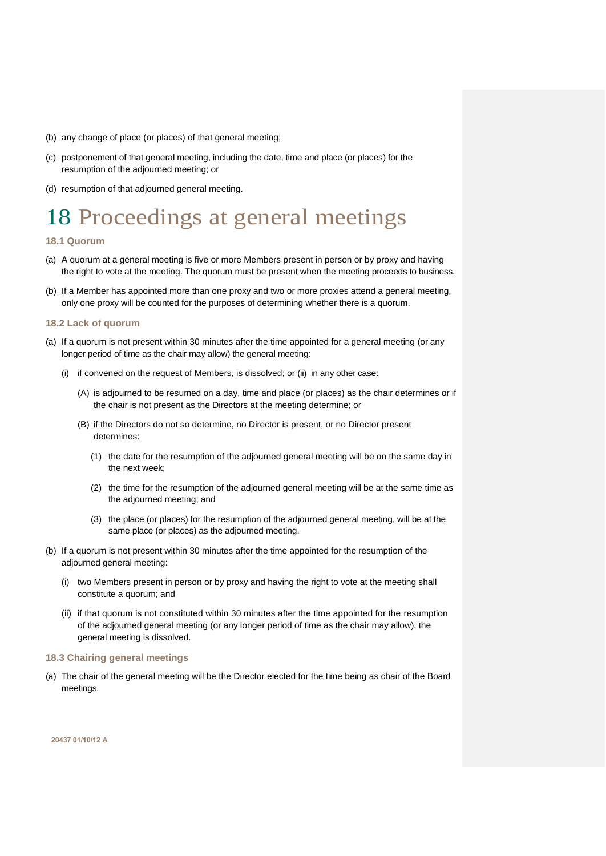- (b) any change of place (or places) of that general meeting;
- (c) postponement of that general meeting, including the date, time and place (or places) for the resumption of the adjourned meeting; or
- (d) resumption of that adjourned general meeting.

# <span id="page-25-0"></span>18 Proceedings at general meetings

# <span id="page-25-1"></span>**18.1 Quorum**

- (a) A quorum at a general meeting is five or more Members present in person or by proxy and having the right to vote at the meeting. The quorum must be present when the meeting proceeds to business.
- (b) If a Member has appointed more than one proxy and two or more proxies attend a general meeting, only one proxy will be counted for the purposes of determining whether there is a quorum.

# <span id="page-25-2"></span>**18.2 Lack of quorum**

- (a) If a quorum is not present within 30 minutes after the time appointed for a general meeting (or any longer period of time as the chair may allow) the general meeting:
	- (i) if convened on the request of Members, is dissolved; or (ii) in any other case:
		- (A) is adjourned to be resumed on a day, time and place (or places) as the chair determines or if the chair is not present as the Directors at the meeting determine; or
		- (B) if the Directors do not so determine, no Director is present, or no Director present determines:
			- (1) the date for the resumption of the adjourned general meeting will be on the same day in the next week;
			- (2) the time for the resumption of the adjourned general meeting will be at the same time as the adjourned meeting; and
			- (3) the place (or places) for the resumption of the adjourned general meeting, will be at the same place (or places) as the adjourned meeting.
- (b) If a quorum is not present within 30 minutes after the time appointed for the resumption of the adjourned general meeting:
	- (i) two Members present in person or by proxy and having the right to vote at the meeting shall constitute a quorum; and
	- (ii) if that quorum is not constituted within 30 minutes after the time appointed for the resumption of the adjourned general meeting (or any longer period of time as the chair may allow), the general meeting is dissolved.

# <span id="page-25-3"></span>**18.3 Chairing general meetings**

(a) The chair of the general meeting will be the Director elected for the time being as chair of the Board meetings.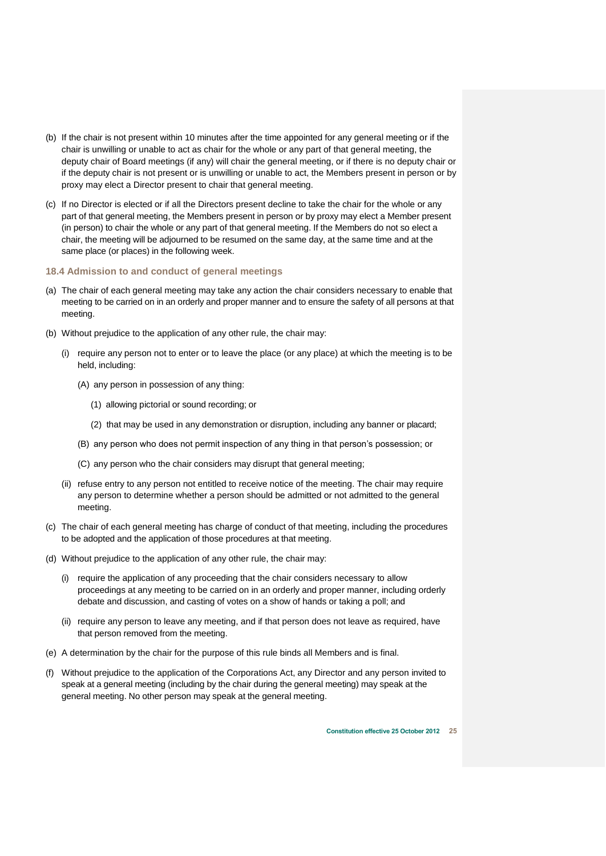- (b) If the chair is not present within 10 minutes after the time appointed for any general meeting or if the chair is unwilling or unable to act as chair for the whole or any part of that general meeting, the deputy chair of Board meetings (if any) will chair the general meeting, or if there is no deputy chair or if the deputy chair is not present or is unwilling or unable to act, the Members present in person or by proxy may elect a Director present to chair that general meeting.
- (c) If no Director is elected or if all the Directors present decline to take the chair for the whole or any part of that general meeting, the Members present in person or by proxy may elect a Member present (in person) to chair the whole or any part of that general meeting. If the Members do not so elect a chair, the meeting will be adjourned to be resumed on the same day, at the same time and at the same place (or places) in the following week.
- <span id="page-26-0"></span>**18.4 Admission to and conduct of general meetings**
- (a) The chair of each general meeting may take any action the chair considers necessary to enable that meeting to be carried on in an orderly and proper manner and to ensure the safety of all persons at that meeting.
- (b) Without prejudice to the application of any other rule, the chair may:
	- (i) require any person not to enter or to leave the place (or any place) at which the meeting is to be held, including:
		- (A) any person in possession of any thing:
			- (1) allowing pictorial or sound recording; or
			- (2) that may be used in any demonstration or disruption, including any banner or placard;
		- (B) any person who does not permit inspection of any thing in that person's possession; or
		- (C) any person who the chair considers may disrupt that general meeting;
	- (ii) refuse entry to any person not entitled to receive notice of the meeting. The chair may require any person to determine whether a person should be admitted or not admitted to the general meeting.
- (c) The chair of each general meeting has charge of conduct of that meeting, including the procedures to be adopted and the application of those procedures at that meeting.
- (d) Without prejudice to the application of any other rule, the chair may:
	- (i) require the application of any proceeding that the chair considers necessary to allow proceedings at any meeting to be carried on in an orderly and proper manner, including orderly debate and discussion, and casting of votes on a show of hands or taking a poll; and
	- (ii) require any person to leave any meeting, and if that person does not leave as required, have that person removed from the meeting.
- (e) A determination by the chair for the purpose of this rule binds all Members and is final.
- (f) Without prejudice to the application of the Corporations Act, any Director and any person invited to speak at a general meeting (including by the chair during the general meeting) may speak at the general meeting. No other person may speak at the general meeting.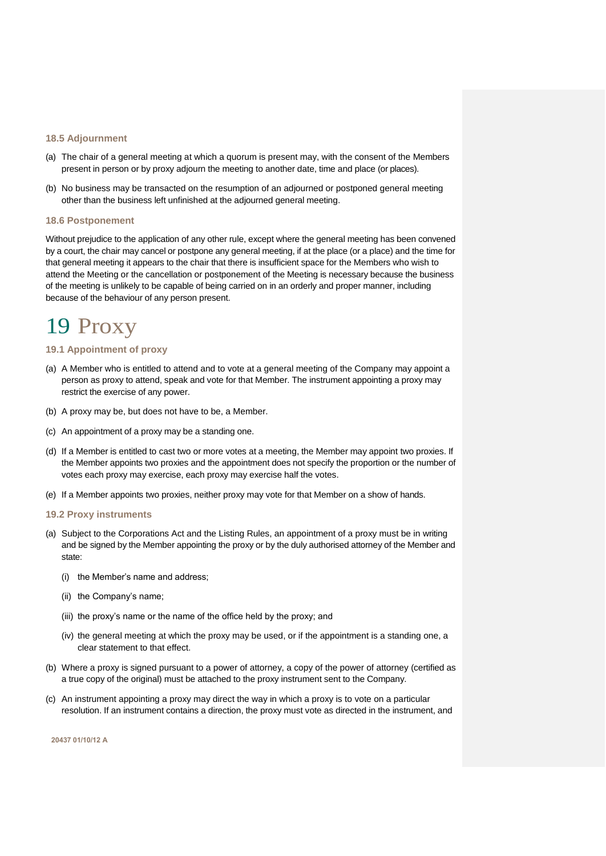### <span id="page-27-0"></span>**18.5 Adjournment**

- (a) The chair of a general meeting at which a quorum is present may, with the consent of the Members present in person or by proxy adjourn the meeting to another date, time and place (or places).
- (b) No business may be transacted on the resumption of an adjourned or postponed general meeting other than the business left unfinished at the adjourned general meeting.

### <span id="page-27-1"></span>**18.6 Postponement**

Without prejudice to the application of any other rule, except where the general meeting has been convened by a court, the chair may cancel or postpone any general meeting, if at the place (or a place) and the time for that general meeting it appears to the chair that there is insufficient space for the Members who wish to attend the Meeting or the cancellation or postponement of the Meeting is necessary because the business of the meeting is unlikely to be capable of being carried on in an orderly and proper manner, including because of the behaviour of any person present.

# <span id="page-27-2"></span>19 Proxy

# <span id="page-27-3"></span>**19.1 Appointment of proxy**

- (a) A Member who is entitled to attend and to vote at a general meeting of the Company may appoint a person as proxy to attend, speak and vote for that Member. The instrument appointing a proxy may restrict the exercise of any power.
- (b) A proxy may be, but does not have to be, a Member.
- (c) An appointment of a proxy may be a standing one.
- (d) If a Member is entitled to cast two or more votes at a meeting, the Member may appoint two proxies. If the Member appoints two proxies and the appointment does not specify the proportion or the number of votes each proxy may exercise, each proxy may exercise half the votes.
- (e) If a Member appoints two proxies, neither proxy may vote for that Member on a show of hands.

# <span id="page-27-4"></span>**19.2 Proxy instruments**

- (a) Subject to the Corporations Act and the Listing Rules, an appointment of a proxy must be in writing and be signed by the Member appointing the proxy or by the duly authorised attorney of the Member and state:
	- (i) the Member's name and address;
	- (ii) the Company's name;
	- (iii) the proxy's name or the name of the office held by the proxy; and
	- (iv) the general meeting at which the proxy may be used, or if the appointment is a standing one, a clear statement to that effect.
- (b) Where a proxy is signed pursuant to a power of attorney, a copy of the power of attorney (certified as a true copy of the original) must be attached to the proxy instrument sent to the Company.
- (c) An instrument appointing a proxy may direct the way in which a proxy is to vote on a particular resolution. If an instrument contains a direction, the proxy must vote as directed in the instrument, and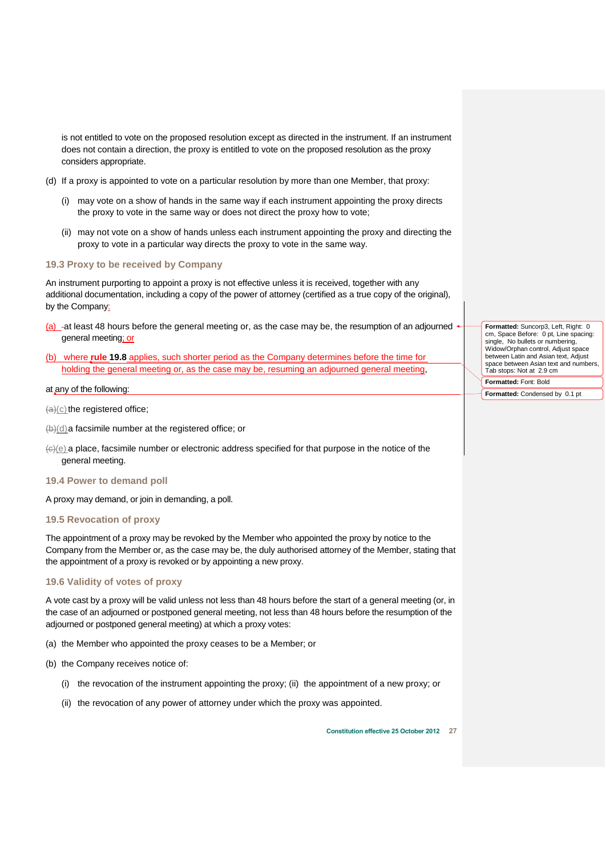is not entitled to vote on the proposed resolution except as directed in the instrument. If an instrument does not contain a direction, the proxy is entitled to vote on the proposed resolution as the proxy considers appropriate.

- (d) If a proxy is appointed to vote on a particular resolution by more than one Member, that proxy:
	- (i) may vote on a show of hands in the same way if each instrument appointing the proxy directs the proxy to vote in the same way or does not direct the proxy how to vote;
	- (ii) may not vote on a show of hands unless each instrument appointing the proxy and directing the proxy to vote in a particular way directs the proxy to vote in the same way.

### <span id="page-28-0"></span>**19.3 Proxy to be received by Company**

An instrument purporting to appoint a proxy is not effective unless it is received, together with any additional documentation, including a copy of the power of attorney (certified as a true copy of the original), by the Company:

- <span id="page-28-4"></span>(a)  $-$ at least 48 hours before the general meeting or, as the case may be, the resumption of an adjourned general meeting; or
- <span id="page-28-5"></span>(b) where **rule [19.8](#page-29-1)** applies, such shorter period as the Company determines before the time for holding the general meeting or, as the case may be, resuming an adjourned general meeting,

# at any of the following:

 $(a)(c)$  the registered office;

- (b)(d)a facsimile number at the registered office; or
- $\left\langle \Theta | \Theta \right\rangle$  a place, facsimile number or electronic address specified for that purpose in the notice of the general meeting.
- <span id="page-28-1"></span>**19.4 Power to demand poll**

A proxy may demand, or join in demanding, a poll.

# <span id="page-28-2"></span>**19.5 Revocation of proxy**

The appointment of a proxy may be revoked by the Member who appointed the proxy by notice to the Company from the Member or, as the case may be, the duly authorised attorney of the Member, stating that the appointment of a proxy is revoked or by appointing a new proxy.

# <span id="page-28-3"></span>**19.6 Validity of votes of proxy**

A vote cast by a proxy will be valid unless not less than 48 hours before the start of a general meeting (or, in the case of an adjourned or postponed general meeting, not less than 48 hours before the resumption of the adjourned or postponed general meeting) at which a proxy votes:

- (a) the Member who appointed the proxy ceases to be a Member; or
- (b) the Company receives notice of:
	- (i) the revocation of the instrument appointing the proxy; (ii) the appointment of a new proxy; or
	- (ii) the revocation of any power of attorney under which the proxy was appointed.

**Formatted:** Suncorp3, Left, Right: 0 cm, Space Before: 0 pt, Line spacing: single, No bullets or numbering, Widow/Orphan control, Adjust space between Latin and Asian text, Adjust space between Asian text and numbers, Tab stops: Not at 2.9 cm **Formatted:** Font: Bold

**Formatted:** Condensed by 0.1 pt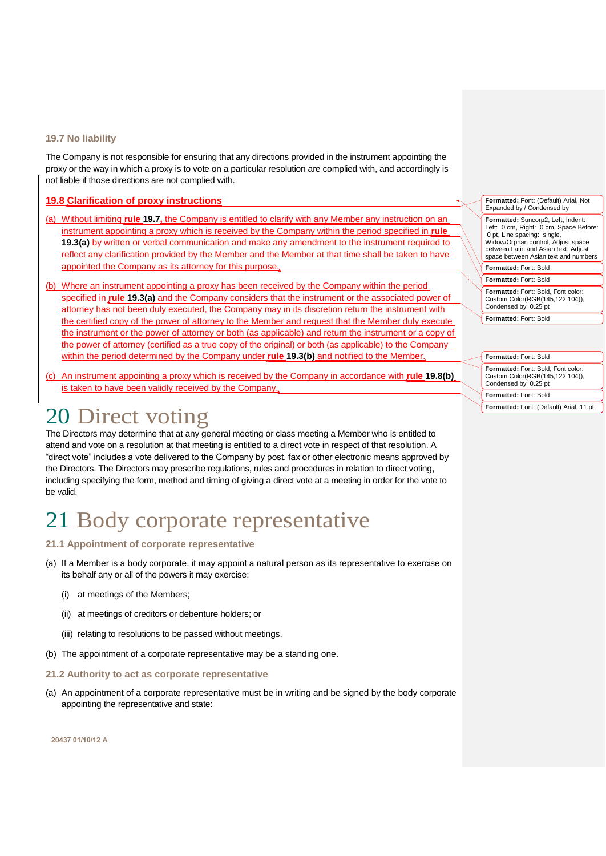# <span id="page-29-0"></span>**19.7 No liability**

The Company is not responsible for ensuring that any directions provided in the instrument appointing the proxy or the way in which a proxy is to vote on a particular resolution are complied with, and accordingly is not liable if those directions are not complied with.

# <span id="page-29-1"></span>**19.8 Clarification of proxy instructions**

- (a) Without limiting **rule [19.7,](#page-29-0)** the Company is entitled to clarify with any Member any instruction on an instrument appointing a proxy which is received by the Company within the period specified in **rule [19.3\(a\)](#page-28-4)** by written or verbal communication and make any amendment to the instrument required to reflect any clarification provided by the Member and the Member at that time shall be taken to have appointed the Company as its attorney for this purpose.
- <span id="page-29-6"></span>(b) Where an instrument appointing a proxy has been received by the Company within the period specified in **rule [19.3\(a\)](#page-28-4)** and the Company considers that the instrument or the associated power of attorney has not been duly executed, the Company may in its discretion return the instrument with the certified copy of the power of attorney to the Member and request that the Member duly execute the instrument or the power of attorney or both (as applicable) and return the instrument or a copy of the power of attorney (certified as a true copy of the original) or both (as applicable) to the Company within the period determined by the Company under **rule [19.3\(b\)](#page-28-5)** and notified to the Member.
- (c) An instrument appointing a proxy which is received by the Company in accordance with **rule [19.8\(b\)](#page-29-6)** is taken to have been validly received by the Company.

# <span id="page-29-2"></span>20 Direct voting

The Directors may determine that at any general meeting or class meeting a Member who is entitled to attend and vote on a resolution at that meeting is entitled to a direct vote in respect of that resolution. A "direct vote" includes a vote delivered to the Company by post, fax or other electronic means approved by the Directors. The Directors may prescribe regulations, rules and procedures in relation to direct voting, including specifying the form, method and timing of giving a direct vote at a meeting in order for the vote to be valid.

# <span id="page-29-3"></span>21 Body corporate representative

# <span id="page-29-4"></span>**21.1 Appointment of corporate representative**

- (a) If a Member is a body corporate, it may appoint a natural person as its representative to exercise on its behalf any or all of the powers it may exercise:
	- (i) at meetings of the Members;
	- (ii) at meetings of creditors or debenture holders; or
	- (iii) relating to resolutions to be passed without meetings.
- (b) The appointment of a corporate representative may be a standing one.

# <span id="page-29-5"></span>**21.2 Authority to act as corporate representative**

(a) An appointment of a corporate representative must be in writing and be signed by the body corporate appointing the representative and state:

**20437 01/10/12 A**

**Formatted:** Font: (Default) Arial, Not Expanded by / Condensed by **Formatted:** Suncorp2, Left, Indent: Left: 0 cm, Right: 0 cm, Space Before: 0 pt, Line spacing: single, Widow/Orphan control, Adjust space between Latin and Asian text, Adjust space between Asian text and numbers **Formatted:** Font: Bold **Formatted:** Font: Bold **Formatted:** Font: Bold, Font color: Custom Color(RGB(145,122,104)), Condensed by 0.25 pt

**Formatted:** Font: Bold

| <b>Formatted: Font: Bold</b>                                                                  |
|-----------------------------------------------------------------------------------------------|
| Formatted: Font: Bold, Font color:<br>Custom Color(RGB(145,122,104)),<br>Condensed by 0.25 pt |
| Formatted: Font: Bold                                                                         |
| Formatted: Font: (Default) Arial, 11 pt                                                       |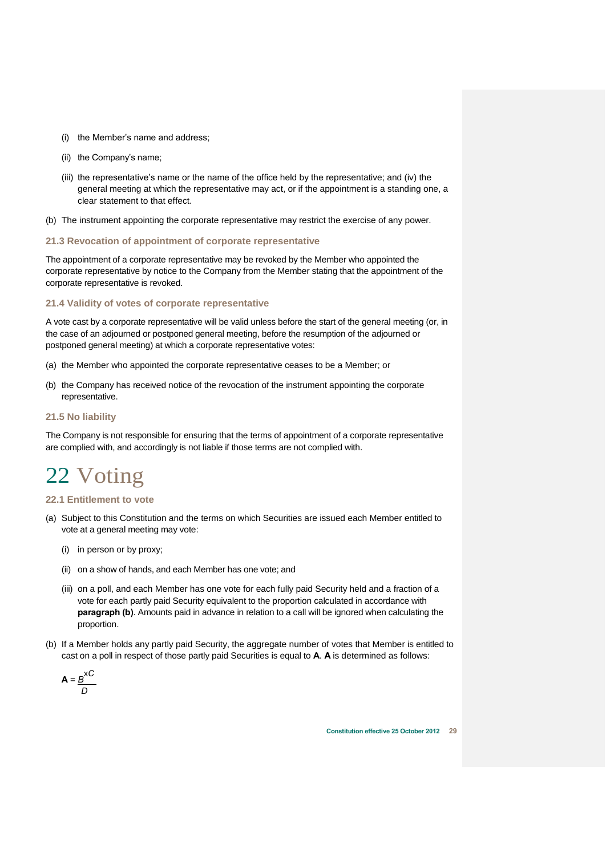- (i) the Member's name and address;
- (ii) the Company's name;
- (iii) the representative's name or the name of the office held by the representative; and (iv) the general meeting at which the representative may act, or if the appointment is a standing one, a clear statement to that effect.
- (b) The instrument appointing the corporate representative may restrict the exercise of any power.

# <span id="page-30-0"></span>**21.3 Revocation of appointment of corporate representative**

The appointment of a corporate representative may be revoked by the Member who appointed the corporate representative by notice to the Company from the Member stating that the appointment of the corporate representative is revoked.

# <span id="page-30-1"></span>**21.4 Validity of votes of corporate representative**

A vote cast by a corporate representative will be valid unless before the start of the general meeting (or, in the case of an adjourned or postponed general meeting, before the resumption of the adjourned or postponed general meeting) at which a corporate representative votes:

- (a) the Member who appointed the corporate representative ceases to be a Member; or
- (b) the Company has received notice of the revocation of the instrument appointing the corporate representative.

### <span id="page-30-2"></span>**21.5 No liability**

The Company is not responsible for ensuring that the terms of appointment of a corporate representative are complied with, and accordingly is not liable if those terms are not complied with.

# <span id="page-30-3"></span>22 Voting

# <span id="page-30-4"></span>**22.1 Entitlement to vote**

- (a) Subject to this Constitution and the terms on which Securities are issued each Member entitled to vote at a general meeting may vote:
	- (i) in person or by proxy;
	- (ii) on a show of hands, and each Member has one vote; and
	- (iii) on a poll, and each Member has one vote for each fully paid Security held and a fraction of a vote for each partly paid Security equivalent to the proportion calculated in accordance with **paragraph (b)**. Amounts paid in advance in relation to a call will be ignored when calculating the proportion.
- (b) If a Member holds any partly paid Security, the aggregate number of votes that Member is entitled to cast on a poll in respect of those partly paid Securities is equal to **A**. **A** is determined as follows:

$$
A = \frac{B^{XC}}{D}
$$

**Constitution effective 25 October 2012 29**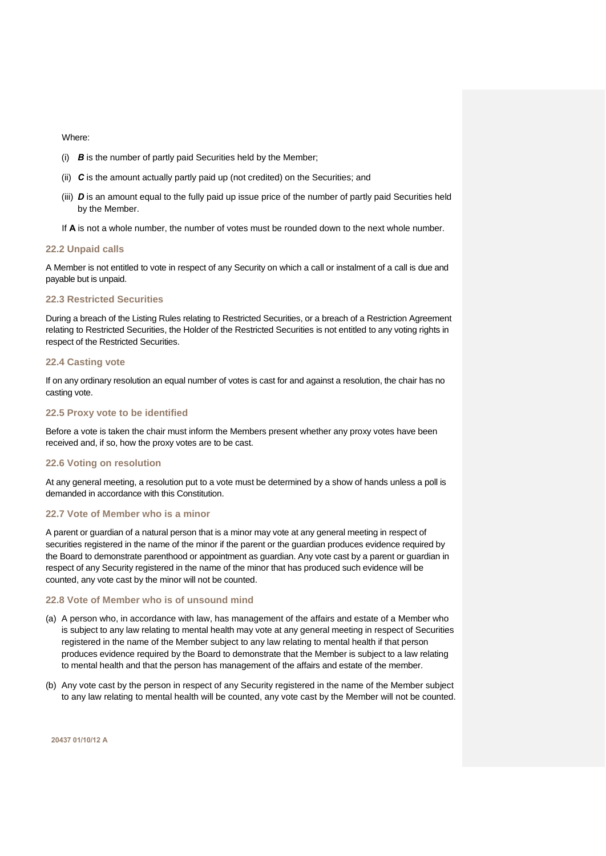Where:

- (i) *B* is the number of partly paid Securities held by the Member;
- (ii) *C* is the amount actually partly paid up (not credited) on the Securities; and
- (iii) *D* is an amount equal to the fully paid up issue price of the number of partly paid Securities held by the Member.
- If **A** is not a whole number, the number of votes must be rounded down to the next whole number.

# <span id="page-31-0"></span>**22.2 Unpaid calls**

A Member is not entitled to vote in respect of any Security on which a call or instalment of a call is due and payable but is unpaid.

# <span id="page-31-1"></span>**22.3 Restricted Securities**

During a breach of the Listing Rules relating to Restricted Securities, or a breach of a Restriction Agreement relating to Restricted Securities, the Holder of the Restricted Securities is not entitled to any voting rights in respect of the Restricted Securities.

# <span id="page-31-2"></span>**22.4 Casting vote**

If on any ordinary resolution an equal number of votes is cast for and against a resolution, the chair has no casting vote.

# <span id="page-31-3"></span>**22.5 Proxy vote to be identified**

Before a vote is taken the chair must inform the Members present whether any proxy votes have been received and, if so, how the proxy votes are to be cast.

### <span id="page-31-4"></span>**22.6 Voting on resolution**

At any general meeting, a resolution put to a vote must be determined by a show of hands unless a poll is demanded in accordance with this Constitution.

# <span id="page-31-5"></span>**22.7 Vote of Member who is a minor**

A parent or guardian of a natural person that is a minor may vote at any general meeting in respect of securities registered in the name of the minor if the parent or the guardian produces evidence required by the Board to demonstrate parenthood or appointment as guardian. Any vote cast by a parent or guardian in respect of any Security registered in the name of the minor that has produced such evidence will be counted, any vote cast by the minor will not be counted.

# <span id="page-31-6"></span>**22.8 Vote of Member who is of unsound mind**

- (a) A person who, in accordance with law, has management of the affairs and estate of a Member who is subject to any law relating to mental health may vote at any general meeting in respect of Securities registered in the name of the Member subject to any law relating to mental health if that person produces evidence required by the Board to demonstrate that the Member is subject to a law relating to mental health and that the person has management of the affairs and estate of the member.
- (b) Any vote cast by the person in respect of any Security registered in the name of the Member subject to any law relating to mental health will be counted, any vote cast by the Member will not be counted.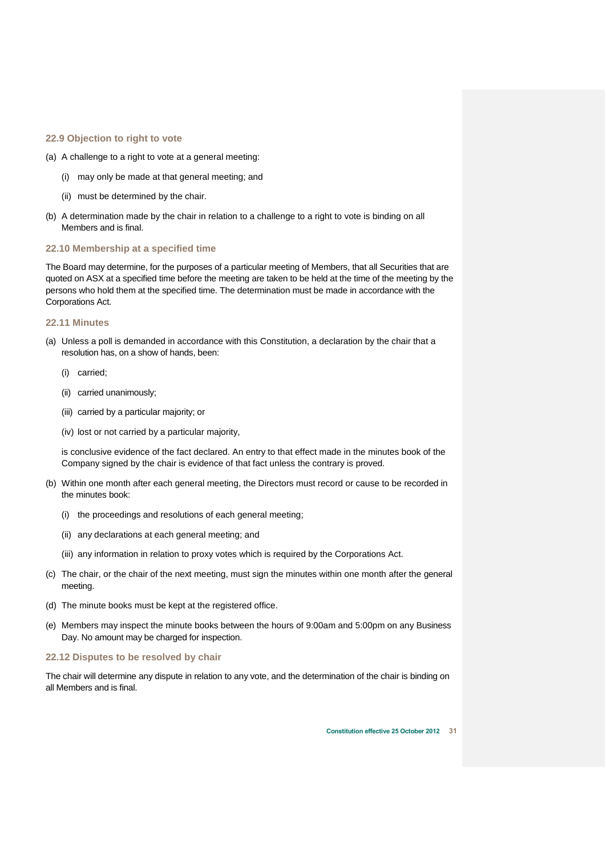# <span id="page-32-0"></span>**22.9 Objection to right to vote**

- (a) A challenge to a right to vote at a general meeting:
	- (i) may only be made at that general meeting; and
	- (ii) must be determined by the chair.
- (b) A determination made by the chair in relation to a challenge to a right to vote is binding on all Members and is final.

# <span id="page-32-1"></span>**22.10 Membership at a specified time**

The Board may determine, for the purposes of a particular meeting of Members, that all Securities that are quoted on ASX at a specified time before the meeting are taken to be held at the time of the meeting by the persons who hold them at the specified time. The determination must be made in accordance with the Corporations Act.

### <span id="page-32-2"></span>**22.11 Minutes**

- (a) Unless a poll is demanded in accordance with this Constitution, a declaration by the chair that a resolution has, on a show of hands, been:
	- (i) carried;
	- (ii) carried unanimously;
	- (iii) carried by a particular majority; or
	- (iv) lost or not carried by a particular majority,

is conclusive evidence of the fact declared. An entry to that effect made in the minutes book of the Company signed by the chair is evidence of that fact unless the contrary is proved.

- (b) Within one month after each general meeting, the Directors must record or cause to be recorded in the minutes book:
	- (i) the proceedings and resolutions of each general meeting;
	- (ii) any declarations at each general meeting; and
	- (iii) any information in relation to proxy votes which is required by the Corporations Act.
- (c) The chair, or the chair of the next meeting, must sign the minutes within one month after the general meeting.
- (d) The minute books must be kept at the registered office.
- (e) Members may inspect the minute books between the hours of 9:00am and 5:00pm on any Business Day. No amount may be charged for inspection.

# <span id="page-32-3"></span>**22.12 Disputes to be resolved by chair**

The chair will determine any dispute in relation to any vote, and the determination of the chair is binding on all Members and is final.

**Constitution effective 25 October 2012 31**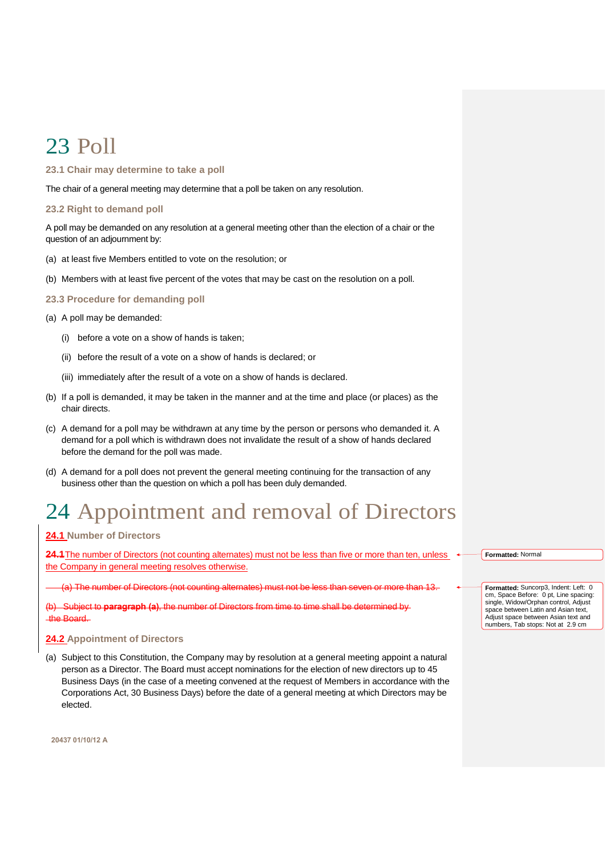# <span id="page-33-0"></span>23 Poll

# <span id="page-33-1"></span>**23.1 Chair may determine to take a poll**

The chair of a general meeting may determine that a poll be taken on any resolution.

# <span id="page-33-2"></span>**23.2 Right to demand poll**

A poll may be demanded on any resolution at a general meeting other than the election of a chair or the question of an adjournment by:

- (a) at least five Members entitled to vote on the resolution; or
- (b) Members with at least five percent of the votes that may be cast on the resolution on a poll.

# <span id="page-33-3"></span>**23.3 Procedure for demanding poll**

- (a) A poll may be demanded:
	- (i) before a vote on a show of hands is taken;
	- (ii) before the result of a vote on a show of hands is declared; or
	- (iii) immediately after the result of a vote on a show of hands is declared.
- (b) If a poll is demanded, it may be taken in the manner and at the time and place (or places) as the chair directs.
- (c) A demand for a poll may be withdrawn at any time by the person or persons who demanded it. A demand for a poll which is withdrawn does not invalidate the result of a show of hands declared before the demand for the poll was made.
- (d) A demand for a poll does not prevent the general meeting continuing for the transaction of any business other than the question on which a poll has been duly demanded.

# <span id="page-33-4"></span>24 Appointment and removal of Directors

# <span id="page-33-5"></span>**24.1 Number of Directors**

24.1 The number of Directors (not counting alternates) must not be less than five or more than ten, unless the Company in general meeting resolves otherwise.

(not counting alternates) must not be less than seven or more than 13

**Subject to paragraph** the Board.

# <span id="page-33-6"></span>**24.2 Appointment of Directors**

(a) Subject to this Constitution, the Company may by resolution at a general meeting appoint a natural person as a Director. The Board must accept nominations for the election of new directors up to 45 Business Days (in the case of a meeting convened at the request of Members in accordance with the Corporations Act, 30 Business Days) before the date of a general meeting at which Directors may be elected.

**Formatted:** Normal

**Formatted:** Suncorp3, Indent: Left: 0 cm, Space Before: 0 pt, Line spacing: single, Widow/Orphan control, Adjust space between Latin and Asian text Adjust space between Asian text and numbers, Tab stops: Not at 2.9 cm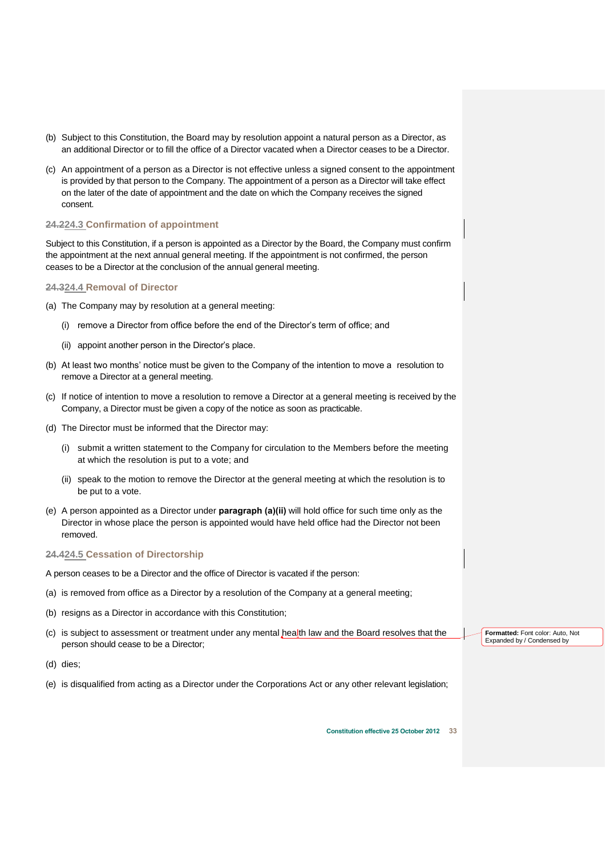- (b) Subject to this Constitution, the Board may by resolution appoint a natural person as a Director, as an additional Director or to fill the office of a Director vacated when a Director ceases to be a Director.
- (c) An appointment of a person as a Director is not effective unless a signed consent to the appointment is provided by that person to the Company. The appointment of a person as a Director will take effect on the later of the date of appointment and the date on which the Company receives the signed consent.

# <span id="page-34-0"></span>**24.224.3 Confirmation of appointment**

Subject to this Constitution, if a person is appointed as a Director by the Board, the Company must confirm the appointment at the next annual general meeting. If the appointment is not confirmed, the person ceases to be a Director at the conclusion of the annual general meeting.

# <span id="page-34-1"></span>**24.324.4 Removal of Director**

- (a) The Company may by resolution at a general meeting:
	- (i) remove a Director from office before the end of the Director's term of office; and
	- (ii) appoint another person in the Director's place.
- (b) At least two months' notice must be given to the Company of the intention to move a resolution to remove a Director at a general meeting.
- (c) If notice of intention to move a resolution to remove a Director at a general meeting is received by the Company, a Director must be given a copy of the notice as soon as practicable.
- (d) The Director must be informed that the Director may:
	- (i) submit a written statement to the Company for circulation to the Members before the meeting at which the resolution is put to a vote; and
	- (ii) speak to the motion to remove the Director at the general meeting at which the resolution is to be put to a vote.
- (e) A person appointed as a Director under **paragraph (a)(ii)** will hold office for such time only as the Director in whose place the person is appointed would have held office had the Director not been removed.

# <span id="page-34-2"></span>**24.424.5 Cessation of Directorship**

- A person ceases to be a Director and the office of Director is vacated if the person:
- (a) is removed from office as a Director by a resolution of the Company at a general meeting;
- (b) resigns as a Director in accordance with this Constitution;
- (c) is subject to assessment or treatment under any mental health law and the Board resolves that the person should cease to be a Director;
- (d) dies;
- (e) is disqualified from acting as a Director under the Corporations Act or any other relevant legislation;

**Formatted:** Font color: Auto, Not Expanded by / Condensed by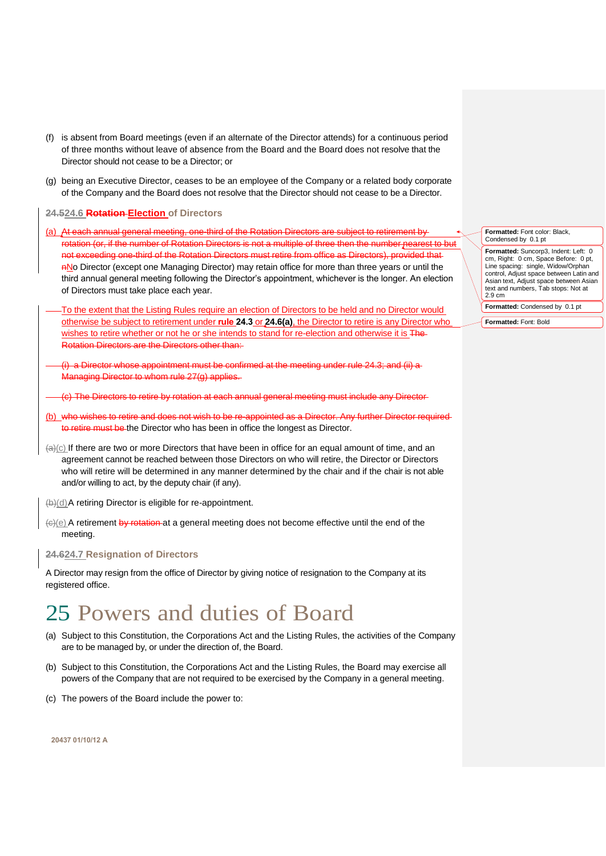- (f) is absent from Board meetings (even if an alternate of the Director attends) for a continuous period of three months without leave of absence from the Board and the Board does not resolve that the Director should not cease to be a Director; or
- (g) being an Executive Director, ceases to be an employee of the Company or a related body corporate of the Company and the Board does not resolve that the Director should not cease to be a Director.

<span id="page-35-0"></span>**24.524.6 Rotation Election of Directors** 

- <span id="page-35-3"></span>(a) At each annual general meeting, one-third of the Rotation Directors are subject to retirement by rotation (or, if the number of Rotation Directors is not a multiple of three then the number nearest to but not exceeding one-third of the Rotation Directors must retire from office as Directors), provided that ANo Director (except one Managing Director) may retain office for more than three years or until the third annual general meeting following the Director's appointment, whichever is the longer. An election of Directors must take place each year.
- To the extent that the Listing Rules require an election of Directors to be held and no Director would otherwise be subject to retirement under **rule [24.3](#page-34-0)** or **[24.6\(a\)](#page-35-3)**, the Director to retire is any Director who wishes to retire whether or not he or she intends to stand for re-election and otherwise it is The Rotation Directors are the Directors other than:
- (i) a Director whose appointment must be confirmed at the meeting under rule 24.3; and (ii) a Managing Director to whom rule 27(g) applies.
- The Directors to retire by rotation at each annual general meeting must include any Director
- (b) who wishes to retire and does not wish to be re-appointed as a Director. Any further Director required to retire must be the Director who has been in office the longest as Director.
- $(A)(c)$  If there are two or more Directors that have been in office for an equal amount of time, and an agreement cannot be reached between those Directors on who will retire, the Director or Directors who will retire will be determined in any manner determined by the chair and if the chair is not able and/or willing to act, by the deputy chair (if any).

(b)(d)A retiring Director is eligible for re-appointment.

(c)(e) A retirement by rotation at a general meeting does not become effective until the end of the meeting.

# <span id="page-35-1"></span>**24.624.7 Resignation of Directors**

A Director may resign from the office of Director by giving notice of resignation to the Company at its registered office.

# <span id="page-35-2"></span>25 Powers and duties of Board

- (a) Subject to this Constitution, the Corporations Act and the Listing Rules, the activities of the Company are to be managed by, or under the direction of, the Board.
- (b) Subject to this Constitution, the Corporations Act and the Listing Rules, the Board may exercise all powers of the Company that are not required to be exercised by the Company in a general meeting.
- (c) The powers of the Board include the power to:

**20437 01/10/12 A**

**Formatted:** Font color: Black, Condensed by 0.1 pt **Formatted:** Suncorp3, Indent: Left: 0 cm, Right: 0 cm, Space Before: 0 pt, Line spacing: single, Widow/Orphan control, Adjust space between Latin and Asian text, Adjust space between Asian text and numbers, Tab stops: Not at 2.9 cm

**Formatted:** Condensed by 0.1 pt

**Formatted:** Font: Bold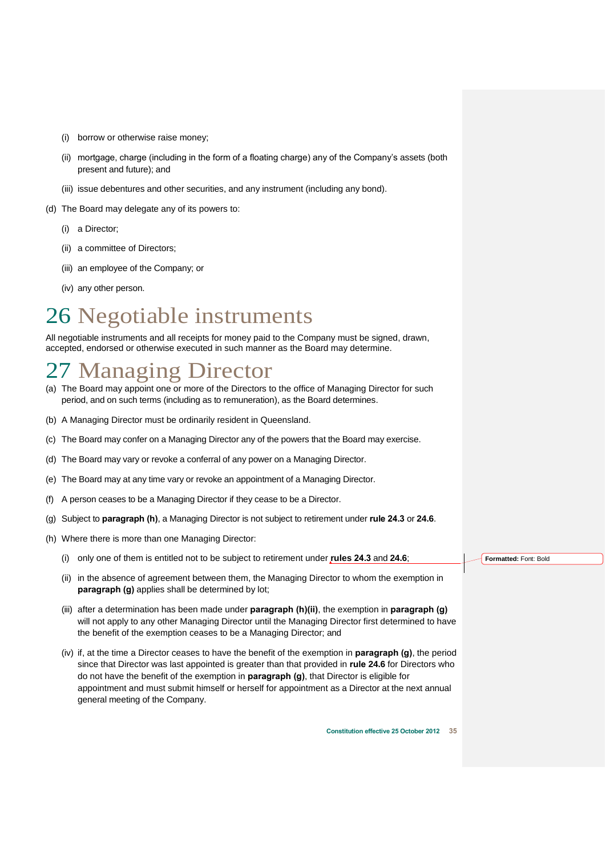- (i) borrow or otherwise raise money;
- (ii) mortgage, charge (including in the form of a floating charge) any of the Company's assets (both present and future); and
- (iii) issue debentures and other securities, and any instrument (including any bond).
- (d) The Board may delegate any of its powers to:
	- (i) a Director;
	- (ii) a committee of Directors;
	- (iii) an employee of the Company; or
	- (iv) any other person.

# <span id="page-36-0"></span>26 Negotiable instruments

All negotiable instruments and all receipts for money paid to the Company must be signed, drawn, accepted, endorsed or otherwise executed in such manner as the Board may determine.

# <span id="page-36-1"></span>27 Managing Director

- (a) The Board may appoint one or more of the Directors to the office of Managing Director for such period, and on such terms (including as to remuneration), as the Board determines.
- (b) A Managing Director must be ordinarily resident in Queensland.
- (c) The Board may confer on a Managing Director any of the powers that the Board may exercise.
- (d) The Board may vary or revoke a conferral of any power on a Managing Director.
- (e) The Board may at any time vary or revoke an appointment of a Managing Director.
- (f) A person ceases to be a Managing Director if they cease to be a Director.
- <span id="page-36-3"></span>(g) Subject to **paragraph [\(h\)](#page-36-2)**, a Managing Director is not subject to retirement under **rule [24.3](#page-34-0)** or **[24.6](#page-35-0)**.
- <span id="page-36-2"></span>(h) Where there is more than one Managing Director:
	- (i) only one of them is entitled not to be subject to retirement under **rules [24.3](#page-34-0)** and **[24.6](#page-35-0)**;
	- (ii) in the absence of agreement between them, the Managing Director to whom the exemption in **paragraph [\(g\)](#page-36-3)** applies shall be determined by lot;
	- (iii) after a determination has been made under **paragraph [\(h\)\(ii\)](#page-36-2)**, the exemption in **paragraph [\(g\)](#page-36-3)** will not apply to any other Managing Director until the Managing Director first determined to have the benefit of the exemption ceases to be a Managing Director; and
	- (iv) if, at the time a Director ceases to have the benefit of the exemption in **paragraph [\(g\)](#page-36-3)**, the period since that Director was last appointed is greater than that provided in **rule [24.6](#page-35-0)** for Directors who do not have the benefit of the exemption in **paragraph [\(g\)](#page-36-3)**, that Director is eligible for appointment and must submit himself or herself for appointment as a Director at the next annual general meeting of the Company.

**Formatted:** Font: Bold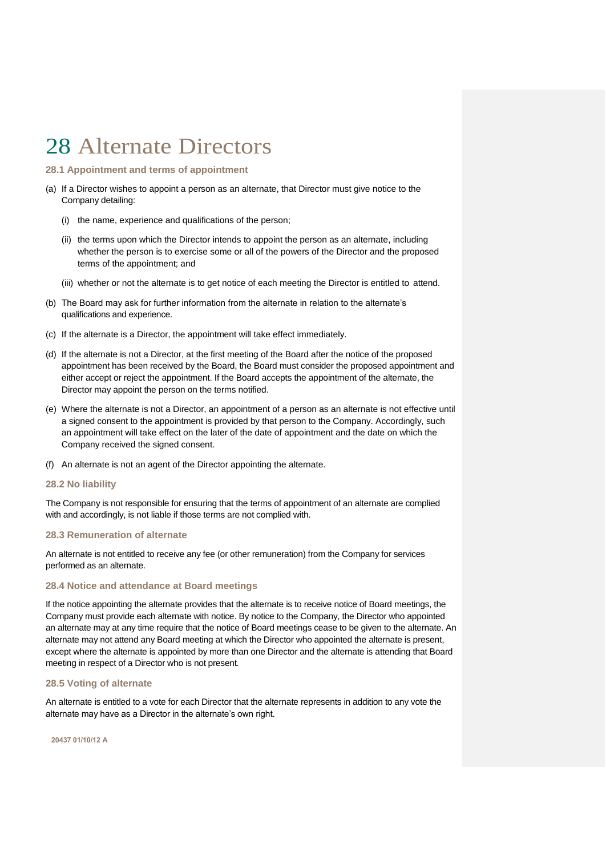# <span id="page-37-0"></span>28 Alternate Directors

# <span id="page-37-1"></span>**28.1 Appointment and terms of appointment**

- (a) If a Director wishes to appoint a person as an alternate, that Director must give notice to the Company detailing:
	- (i) the name, experience and qualifications of the person;
	- (ii) the terms upon which the Director intends to appoint the person as an alternate, including whether the person is to exercise some or all of the powers of the Director and the proposed terms of the appointment; and
	- (iii) whether or not the alternate is to get notice of each meeting the Director is entitled to attend.
- (b) The Board may ask for further information from the alternate in relation to the alternate's qualifications and experience.
- (c) If the alternate is a Director, the appointment will take effect immediately.
- (d) If the alternate is not a Director, at the first meeting of the Board after the notice of the proposed appointment has been received by the Board, the Board must consider the proposed appointment and either accept or reject the appointment. If the Board accepts the appointment of the alternate, the Director may appoint the person on the terms notified.
- (e) Where the alternate is not a Director, an appointment of a person as an alternate is not effective until a signed consent to the appointment is provided by that person to the Company. Accordingly, such an appointment will take effect on the later of the date of appointment and the date on which the Company received the signed consent.
- (f) An alternate is not an agent of the Director appointing the alternate.

#### <span id="page-37-2"></span>**28.2 No liability**

The Company is not responsible for ensuring that the terms of appointment of an alternate are complied with and accordingly, is not liable if those terms are not complied with.

### <span id="page-37-3"></span>**28.3 Remuneration of alternate**

An alternate is not entitled to receive any fee (or other remuneration) from the Company for services performed as an alternate.

# <span id="page-37-4"></span>**28.4 Notice and attendance at Board meetings**

If the notice appointing the alternate provides that the alternate is to receive notice of Board meetings, the Company must provide each alternate with notice. By notice to the Company, the Director who appointed an alternate may at any time require that the notice of Board meetings cease to be given to the alternate. An alternate may not attend any Board meeting at which the Director who appointed the alternate is present, except where the alternate is appointed by more than one Director and the alternate is attending that Board meeting in respect of a Director who is not present.

### <span id="page-37-5"></span>**28.5 Voting of alternate**

An alternate is entitled to a vote for each Director that the alternate represents in addition to any vote the alternate may have as a Director in the alternate's own right.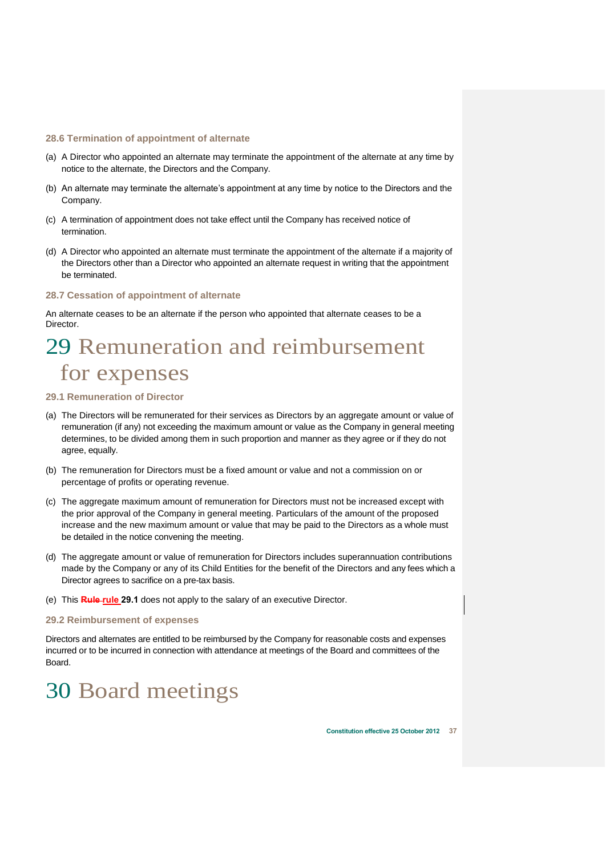### <span id="page-38-0"></span>**28.6 Termination of appointment of alternate**

- (a) A Director who appointed an alternate may terminate the appointment of the alternate at any time by notice to the alternate, the Directors and the Company.
- (b) An alternate may terminate the alternate's appointment at any time by notice to the Directors and the Company.
- (c) A termination of appointment does not take effect until the Company has received notice of termination.
- (d) A Director who appointed an alternate must terminate the appointment of the alternate if a majority of the Directors other than a Director who appointed an alternate request in writing that the appointment be terminated.

# <span id="page-38-1"></span>**28.7 Cessation of appointment of alternate**

An alternate ceases to be an alternate if the person who appointed that alternate ceases to be a Director.

# <span id="page-38-2"></span>29 Remuneration and reimbursement for expenses

# <span id="page-38-3"></span>**29.1 Remuneration of Director**

- (a) The Directors will be remunerated for their services as Directors by an aggregate amount or value of remuneration (if any) not exceeding the maximum amount or value as the Company in general meeting determines, to be divided among them in such proportion and manner as they agree or if they do not agree, equally.
- (b) The remuneration for Directors must be a fixed amount or value and not a commission on or percentage of profits or operating revenue.
- (c) The aggregate maximum amount of remuneration for Directors must not be increased except with the prior approval of the Company in general meeting. Particulars of the amount of the proposed increase and the new maximum amount or value that may be paid to the Directors as a whole must be detailed in the notice convening the meeting.
- (d) The aggregate amount or value of remuneration for Directors includes superannuation contributions made by the Company or any of its Child Entities for the benefit of the Directors and any fees which a Director agrees to sacrifice on a pre-tax basis.
- (e) This **Rule rule [29.1](#page-38-3)** does not apply to the salary of an executive Director.

### <span id="page-38-4"></span>**29.2 Reimbursement of expenses**

Directors and alternates are entitled to be reimbursed by the Company for reasonable costs and expenses incurred or to be incurred in connection with attendance at meetings of the Board and committees of the Board.

# <span id="page-38-5"></span>30 Board meetings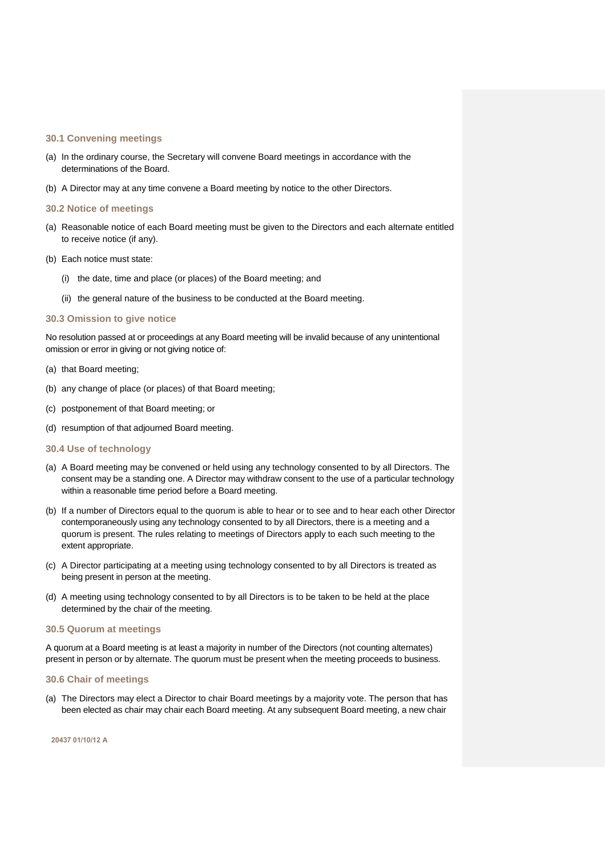### <span id="page-39-0"></span>**30.1 Convening meetings**

- (a) In the ordinary course, the Secretary will convene Board meetings in accordance with the determinations of the Board.
- (b) A Director may at any time convene a Board meeting by notice to the other Directors.

### <span id="page-39-1"></span>**30.2 Notice of meetings**

- (a) Reasonable notice of each Board meeting must be given to the Directors and each alternate entitled to receive notice (if any).
- (b) Each notice must state:
	- (i) the date, time and place (or places) of the Board meeting; and
	- (ii) the general nature of the business to be conducted at the Board meeting.

# <span id="page-39-2"></span>**30.3 Omission to give notice**

No resolution passed at or proceedings at any Board meeting will be invalid because of any unintentional omission or error in giving or not giving notice of:

- (a) that Board meeting;
- (b) any change of place (or places) of that Board meeting;
- (c) postponement of that Board meeting; or
- (d) resumption of that adjourned Board meeting.
- <span id="page-39-3"></span>**30.4 Use of technology**
- (a) A Board meeting may be convened or held using any technology consented to by all Directors. The consent may be a standing one. A Director may withdraw consent to the use of a particular technology within a reasonable time period before a Board meeting.
- (b) If a number of Directors equal to the quorum is able to hear or to see and to hear each other Director contemporaneously using any technology consented to by all Directors, there is a meeting and a quorum is present. The rules relating to meetings of Directors apply to each such meeting to the extent appropriate.
- (c) A Director participating at a meeting using technology consented to by all Directors is treated as being present in person at the meeting.
- (d) A meeting using technology consented to by all Directors is to be taken to be held at the place determined by the chair of the meeting.

### <span id="page-39-4"></span>**30.5 Quorum at meetings**

A quorum at a Board meeting is at least a majority in number of the Directors (not counting alternates) present in person or by alternate. The quorum must be present when the meeting proceeds to business.

### <span id="page-39-5"></span>**30.6 Chair of meetings**

(a) The Directors may elect a Director to chair Board meetings by a majority vote. The person that has been elected as chair may chair each Board meeting. At any subsequent Board meeting, a new chair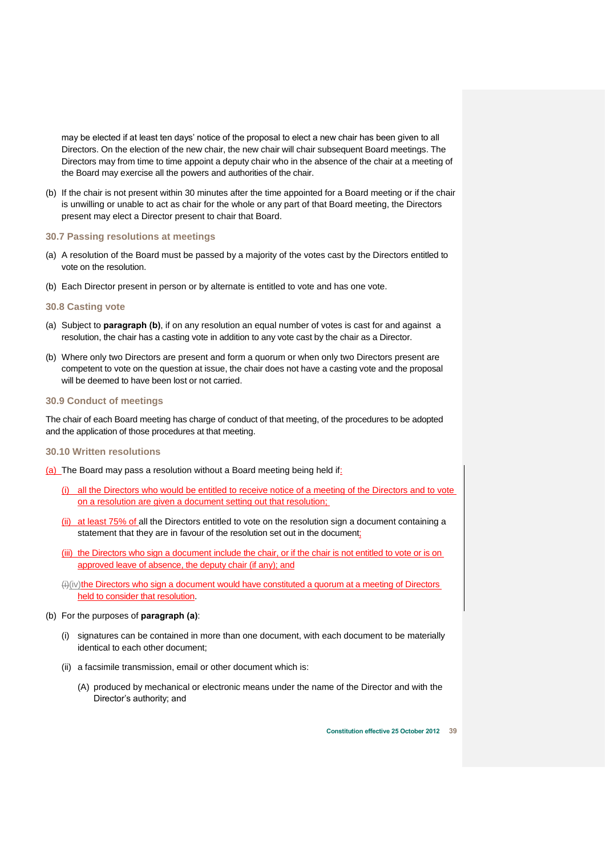may be elected if at least ten days' notice of the proposal to elect a new chair has been given to all Directors. On the election of the new chair, the new chair will chair subsequent Board meetings. The Directors may from time to time appoint a deputy chair who in the absence of the chair at a meeting of the Board may exercise all the powers and authorities of the chair.

(b) If the chair is not present within 30 minutes after the time appointed for a Board meeting or if the chair is unwilling or unable to act as chair for the whole or any part of that Board meeting, the Directors present may elect a Director present to chair that Board.

# <span id="page-40-0"></span>**30.7 Passing resolutions at meetings**

- (a) A resolution of the Board must be passed by a majority of the votes cast by the Directors entitled to vote on the resolution.
- (b) Each Director present in person or by alternate is entitled to vote and has one vote.

### <span id="page-40-1"></span>**30.8 Casting vote**

- (a) Subject to **paragraph (b)**, if on any resolution an equal number of votes is cast for and against a resolution, the chair has a casting vote in addition to any vote cast by the chair as a Director.
- (b) Where only two Directors are present and form a quorum or when only two Directors present are competent to vote on the question at issue, the chair does not have a casting vote and the proposal will be deemed to have been lost or not carried.

### <span id="page-40-2"></span>**30.9 Conduct of meetings**

The chair of each Board meeting has charge of conduct of that meeting, of the procedures to be adopted and the application of those procedures at that meeting.

#### <span id="page-40-3"></span>**30.10 Written resolutions**

(a) The Board may pass a resolution without a Board meeting being held if:

- (i) all the Directors who would be entitled to receive notice of a meeting of the Directors and to vote on a resolution are given a document setting out that resolution;
- (ii) at least 75% of all the Directors entitled to vote on the resolution sign a document containing a statement that they are in favour of the resolution set out in the document;
- (iii) the Directors who sign a document include the chair, or if the chair is not entitled to vote or is on approved leave of absence, the deputy chair (if any); and
- (ii)(iv)the Directors who sign a document would have constituted a quorum at a meeting of Directors held to consider that resolution.

#### (b) For the purposes of **paragraph (a)**:

- (i) signatures can be contained in more than one document, with each document to be materially identical to each other document;
- (ii) a facsimile transmission, email or other document which is:
	- (A) produced by mechanical or electronic means under the name of the Director and with the Director's authority; and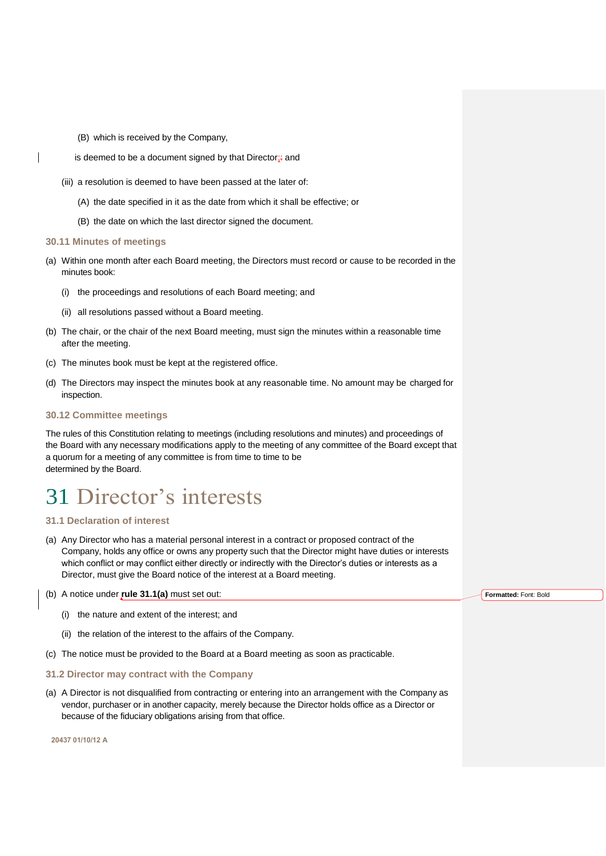- (B) which is received by the Company,
- is deemed to be a document signed by that Director<sub>i</sub> and
- (iii) a resolution is deemed to have been passed at the later of:
	- (A) the date specified in it as the date from which it shall be effective; or
	- (B) the date on which the last director signed the document.

# <span id="page-41-0"></span>**30.11 Minutes of meetings**

- (a) Within one month after each Board meeting, the Directors must record or cause to be recorded in the minutes book:
	- (i) the proceedings and resolutions of each Board meeting; and
	- (ii) all resolutions passed without a Board meeting.
- (b) The chair, or the chair of the next Board meeting, must sign the minutes within a reasonable time after the meeting.
- (c) The minutes book must be kept at the registered office.
- (d) The Directors may inspect the minutes book at any reasonable time. No amount may be charged for inspection.

# <span id="page-41-1"></span>**30.12 Committee meetings**

The rules of this Constitution relating to meetings (including resolutions and minutes) and proceedings of the Board with any necessary modifications apply to the meeting of any committee of the Board except that a quorum for a meeting of any committee is from time to time to be determined by the Board.

# <span id="page-41-2"></span>31 Director's interests

# <span id="page-41-3"></span>**31.1 Declaration of interest**

<span id="page-41-5"></span>(a) Any Director who has a material personal interest in a contract or proposed contract of the Company, holds any office or owns any property such that the Director might have duties or interests which conflict or may conflict either directly or indirectly with the Director's duties or interests as a Director, must give the Board notice of the interest at a Board meeting.

# (b) A notice under **rule [31.1\(a\)](#page-41-5)** must set out:

- (i) the nature and extent of the interest; and
- (ii) the relation of the interest to the affairs of the Company.
- (c) The notice must be provided to the Board at a Board meeting as soon as practicable.

# <span id="page-41-4"></span>**31.2 Director may contract with the Company**

(a) A Director is not disqualified from contracting or entering into an arrangement with the Company as vendor, purchaser or in another capacity, merely because the Director holds office as a Director or because of the fiduciary obligations arising from that office.

**20437 01/10/12 A**

**Formatted:** Font: Bold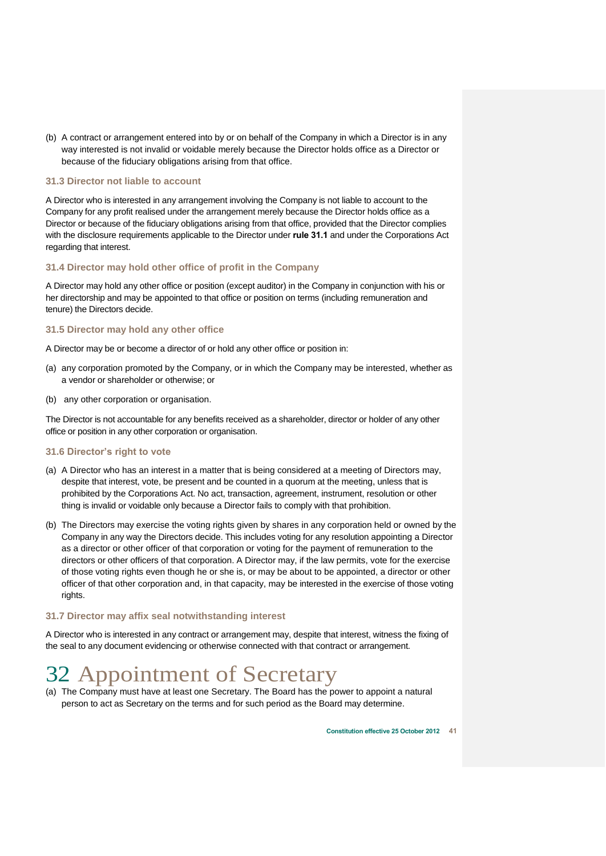(b) A contract or arrangement entered into by or on behalf of the Company in which a Director is in any way interested is not invalid or voidable merely because the Director holds office as a Director or because of the fiduciary obligations arising from that office.

# <span id="page-42-0"></span>**31.3 Director not liable to account**

A Director who is interested in any arrangement involving the Company is not liable to account to the Company for any profit realised under the arrangement merely because the Director holds office as a Director or because of the fiduciary obligations arising from that office, provided that the Director complies with the disclosure requirements applicable to the Director under **rule [31.1](#page-41-3)** and under the Corporations Act regarding that interest.

# <span id="page-42-1"></span>**31.4 Director may hold other office of profit in the Company**

A Director may hold any other office or position (except auditor) in the Company in conjunction with his or her directorship and may be appointed to that office or position on terms (including remuneration and tenure) the Directors decide.

# <span id="page-42-2"></span>**31.5 Director may hold any other office**

A Director may be or become a director of or hold any other office or position in:

- (a) any corporation promoted by the Company, or in which the Company may be interested, whether as a vendor or shareholder or otherwise; or
- (b) any other corporation or organisation.

The Director is not accountable for any benefits received as a shareholder, director or holder of any other office or position in any other corporation or organisation.

# <span id="page-42-3"></span>**31.6 Director's right to vote**

- (a) A Director who has an interest in a matter that is being considered at a meeting of Directors may, despite that interest, vote, be present and be counted in a quorum at the meeting, unless that is prohibited by the Corporations Act. No act, transaction, agreement, instrument, resolution or other thing is invalid or voidable only because a Director fails to comply with that prohibition.
- (b) The Directors may exercise the voting rights given by shares in any corporation held or owned by the Company in any way the Directors decide. This includes voting for any resolution appointing a Director as a director or other officer of that corporation or voting for the payment of remuneration to the directors or other officers of that corporation. A Director may, if the law permits, vote for the exercise of those voting rights even though he or she is, or may be about to be appointed, a director or other officer of that other corporation and, in that capacity, may be interested in the exercise of those voting rights.

# <span id="page-42-4"></span>**31.7 Director may affix seal notwithstanding interest**

A Director who is interested in any contract or arrangement may, despite that interest, witness the fixing of the seal to any document evidencing or otherwise connected with that contract or arrangement.

# <span id="page-42-5"></span>32 Appointment of Secretary

(a) The Company must have at least one Secretary. The Board has the power to appoint a natural person to act as Secretary on the terms and for such period as the Board may determine.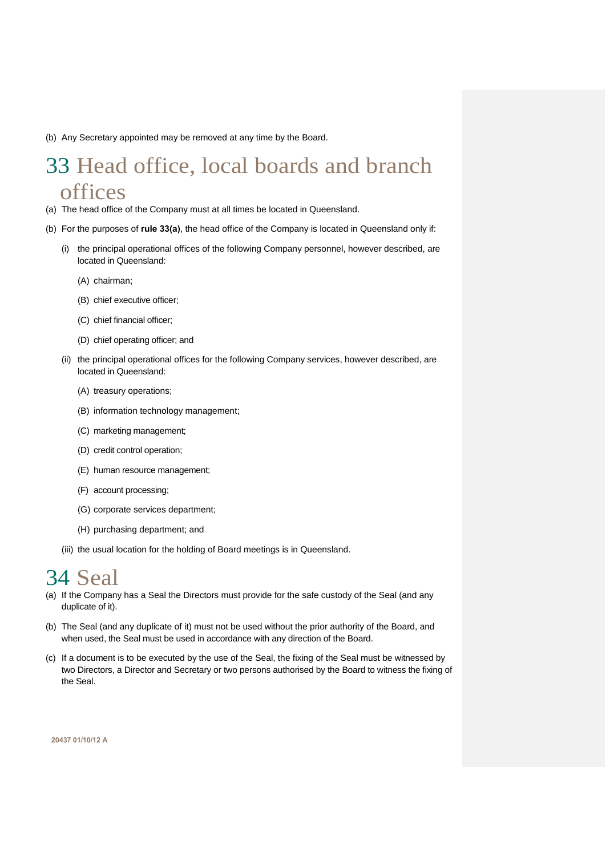(b) Any Secretary appointed may be removed at any time by the Board.

# <span id="page-43-0"></span>33 Head office, local boards and branch offices

- <span id="page-43-2"></span>(a) The head office of the Company must at all times be located in Queensland.
- (b) For the purposes of **rule [33\(a\)](#page-43-2)**, the head office of the Company is located in Queensland only if:
	- (i) the principal operational offices of the following Company personnel, however described, are located in Queensland:
		- (A) chairman;
		- (B) chief executive officer;
		- (C) chief financial officer;
		- (D) chief operating officer; and
	- (ii) the principal operational offices for the following Company services, however described, are located in Queensland:
		- (A) treasury operations;
		- (B) information technology management;
		- (C) marketing management;
		- (D) credit control operation;
		- (E) human resource management;
		- (F) account processing;
		- (G) corporate services department;
		- (H) purchasing department; and
	- (iii) the usual location for the holding of Board meetings is in Queensland.

# <span id="page-43-1"></span>34 Seal

- (a) If the Company has a Seal the Directors must provide for the safe custody of the Seal (and any duplicate of it).
- (b) The Seal (and any duplicate of it) must not be used without the prior authority of the Board, and when used, the Seal must be used in accordance with any direction of the Board.
- (c) If a document is to be executed by the use of the Seal, the fixing of the Seal must be witnessed by two Directors, a Director and Secretary or two persons authorised by the Board to witness the fixing of the Seal.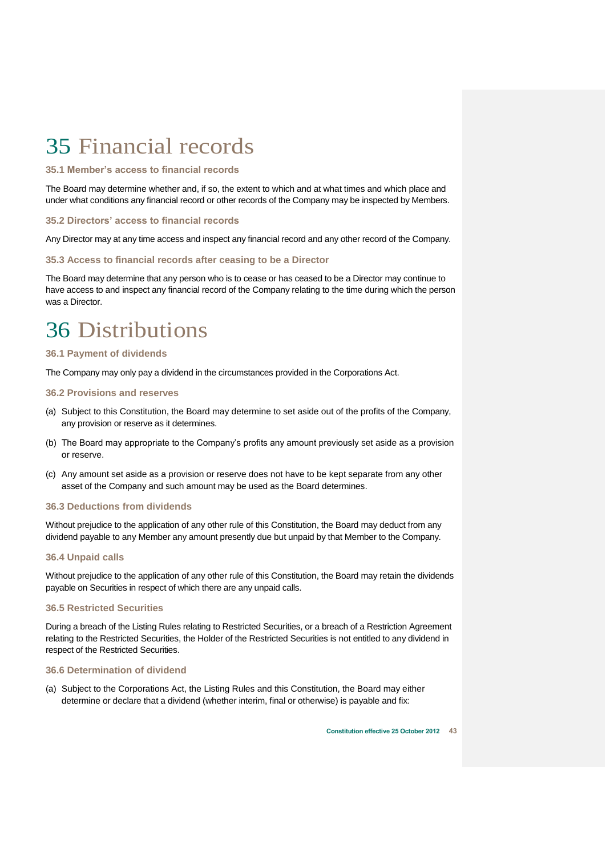# <span id="page-44-0"></span>35 Financial records

# <span id="page-44-1"></span>**35.1 Member's access to financial records**

The Board may determine whether and, if so, the extent to which and at what times and which place and under what conditions any financial record or other records of the Company may be inspected by Members.

# <span id="page-44-2"></span>**35.2 Directors' access to financial records**

Any Director may at any time access and inspect any financial record and any other record of the Company.

# <span id="page-44-3"></span>**35.3 Access to financial records after ceasing to be a Director**

The Board may determine that any person who is to cease or has ceased to be a Director may continue to have access to and inspect any financial record of the Company relating to the time during which the person was a Director.

# <span id="page-44-4"></span>36 Distributions

# <span id="page-44-5"></span>**36.1 Payment of dividends**

The Company may only pay a dividend in the circumstances provided in the Corporations Act.

# <span id="page-44-6"></span>**36.2 Provisions and reserves**

- (a) Subject to this Constitution, the Board may determine to set aside out of the profits of the Company, any provision or reserve as it determines.
- (b) The Board may appropriate to the Company's profits any amount previously set aside as a provision or reserve.
- (c) Any amount set aside as a provision or reserve does not have to be kept separate from any other asset of the Company and such amount may be used as the Board determines.

# <span id="page-44-7"></span>**36.3 Deductions from dividends**

Without prejudice to the application of any other rule of this Constitution, the Board may deduct from any dividend payable to any Member any amount presently due but unpaid by that Member to the Company.

### <span id="page-44-8"></span>**36.4 Unpaid calls**

Without prejudice to the application of any other rule of this Constitution, the Board may retain the dividends payable on Securities in respect of which there are any unpaid calls.

### <span id="page-44-9"></span>**36.5 Restricted Securities**

During a breach of the Listing Rules relating to Restricted Securities, or a breach of a Restriction Agreement relating to the Restricted Securities, the Holder of the Restricted Securities is not entitled to any dividend in respect of the Restricted Securities.

### <span id="page-44-10"></span>**36.6 Determination of dividend**

(a) Subject to the Corporations Act, the Listing Rules and this Constitution, the Board may either determine or declare that a dividend (whether interim, final or otherwise) is payable and fix: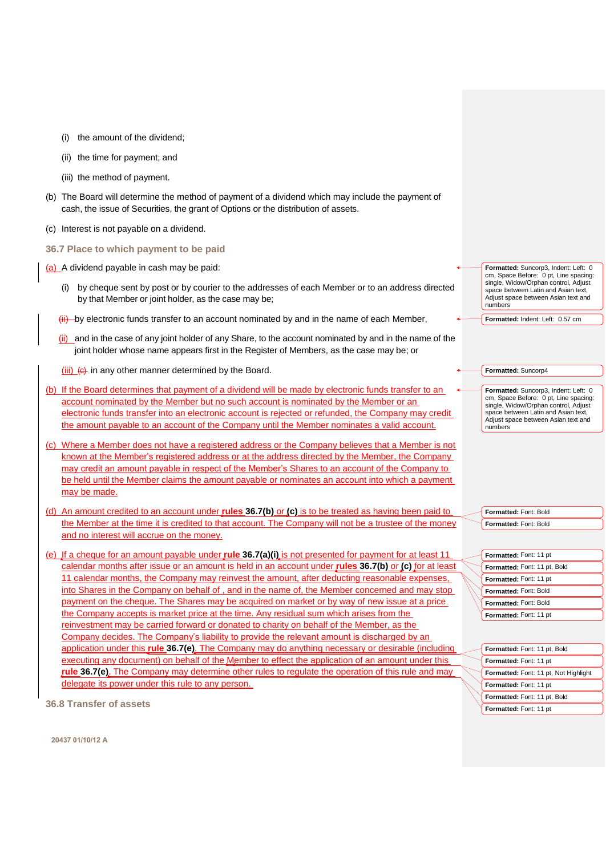- (i) the amount of the dividend;
- (ii) the time for payment; and
- (iii) the method of payment.
- (b) The Board will determine the method of payment of a dividend which may include the payment of cash, the issue of Securities, the grant of Options or the distribution of assets.
- (c) Interest is not payable on a dividend.
- <span id="page-45-0"></span>**36.7 Place to which payment to be paid**

(a) A dividend payable in cash may be paid:

- <span id="page-45-4"></span>(i) by cheque sent by post or by courier to the addresses of each Member or to an address directed by that Member or joint holder, as the case may be;
- $\frac{f_{\text{ii}}}{f_{\text{ii}}}$  by electronic funds transfer to an account nominated by and in the name of each Member,
- (ii) and in the case of any joint holder of any Share, to the account nominated by and in the name of the joint holder whose name appears first in the Register of Members, as the case may be; or

(iii)  $\left( e \right)$  in any other manner determined by the Board.

- <span id="page-45-2"></span>(b) If the Board determines that payment of a dividend will be made by electronic funds transfer to an account nominated by the Member but no such account is nominated by the Member or an electronic funds transfer into an electronic account is rejected or refunded, the Company may credit the amount payable to an account of the Company until the Member nominates a valid account.
- <span id="page-45-3"></span>(c) Where a Member does not have a registered address or the Company believes that a Member is not known at the Member's registered address or at the address directed by the Member, the Company may credit an amount payable in respect of the Member's Shares to an account of the Company to be held until the Member claims the amount payable or nominates an account into which a payment may be made.
- (d) An amount credited to an account under **rules [36.7\(b\)](#page-45-2)** or **[\(c\)](#page-45-3)** is to be treated as having been paid to the Member at the time it is credited to that account. The Company will not be a trustee of the money and no interest will accrue on the money.
- <span id="page-45-5"></span>(e) If a cheque for an amount payable under **rule [36.7\(a\)\(i\)](#page-45-4)** is not presented for payment for at least 11 calendar months after issue or an amount is held in an account under **rules [36.7\(b\)](#page-45-2)** or **[\(c\)](#page-45-3)** for at least 11 calendar months, the Company may reinvest the amount, after deducting reasonable expenses, into Shares in the Company on behalf of , and in the name of, the Member concerned and may stop payment on the cheque. The Shares may be acquired on market or by way of new issue at a price the Company accepts is market price at the time. Any residual sum which arises from the reinvestment may be carried forward or donated to charity on behalf of the Member, as the Company decides. The Company's liability to provide the relevant amount is discharged by an application under this **rule [36.7\(e\)](#page-45-5)**. The Company may do anything necessary or desirable (including executing any document) on behalf of the Member to effect the application of an amount under this **rule [36.7\(e\)](#page-45-5)**. The Company may determine other rules to regulate the operation of this rule and may delegate its power under this rule to any person.

<span id="page-45-1"></span>**36.8 Transfer of assets** 

**Formatted:** Suncorp3, Indent: Left: 0 cm, Space Before: 0 pt, Line spacing: single, Widow/Orphan control, Adjust space between Latin and Asian text. Adjust space between Asian text and numbers

**Formatted:** Indent: Left: 0.57 cm

| Formatted: Suncorp4 |  |
|---------------------|--|
|---------------------|--|

**Formatted:** Suncorp3, Indent: Left: 0 cm, Space Before: 0 pt, Line spacing: single, Widow/Orphan control, Adjust space between Latin and Asian text, Adjust space between Asian text and numbers

**Formatted:** Font: Bold **Formatted:** Font: Bold

| Formatted: Font: 11 pt       |  |
|------------------------------|--|
| Formatted: Font: 11 pt, Bold |  |
| Formatted: Font: 11 pt       |  |
| Formatted: Font: Bold        |  |
| Formatted: Font: Bold        |  |
| Formatted: Font: 11 pt       |  |

| Formatted: Font: 11 pt, Bold          |
|---------------------------------------|
| Formatted: Font: 11 pt                |
| Formatted: Font: 11 pt, Not Highlight |
| Formatted: Font: 11 pt                |
| Formatted: Font: 11 pt, Bold          |
| Formatted: Font: 11 pt                |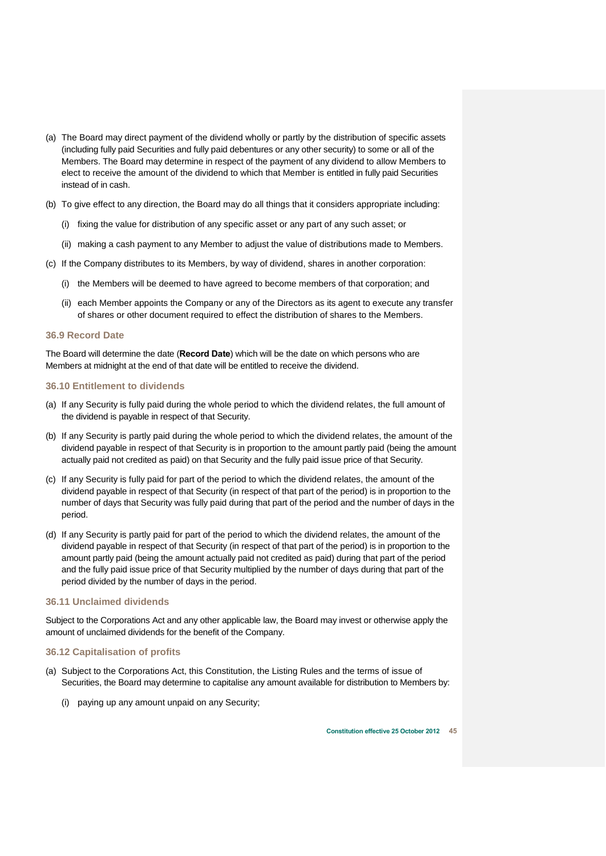- (a) The Board may direct payment of the dividend wholly or partly by the distribution of specific assets (including fully paid Securities and fully paid debentures or any other security) to some or all of the Members. The Board may determine in respect of the payment of any dividend to allow Members to elect to receive the amount of the dividend to which that Member is entitled in fully paid Securities instead of in cash.
- (b) To give effect to any direction, the Board may do all things that it considers appropriate including:
	- (i) fixing the value for distribution of any specific asset or any part of any such asset; or
	- (ii) making a cash payment to any Member to adjust the value of distributions made to Members.
- (c) If the Company distributes to its Members, by way of dividend, shares in another corporation:
	- (i) the Members will be deemed to have agreed to become members of that corporation; and
	- (ii) each Member appoints the Company or any of the Directors as its agent to execute any transfer of shares or other document required to effect the distribution of shares to the Members.

# <span id="page-46-0"></span>**36.9 Record Date**

The Board will determine the date (**Record Date**) which will be the date on which persons who are Members at midnight at the end of that date will be entitled to receive the dividend.

# <span id="page-46-1"></span>**36.10 Entitlement to dividends**

- (a) If any Security is fully paid during the whole period to which the dividend relates, the full amount of the dividend is payable in respect of that Security.
- (b) If any Security is partly paid during the whole period to which the dividend relates, the amount of the dividend payable in respect of that Security is in proportion to the amount partly paid (being the amount actually paid not credited as paid) on that Security and the fully paid issue price of that Security.
- (c) If any Security is fully paid for part of the period to which the dividend relates, the amount of the dividend payable in respect of that Security (in respect of that part of the period) is in proportion to the number of days that Security was fully paid during that part of the period and the number of days in the period.
- (d) If any Security is partly paid for part of the period to which the dividend relates, the amount of the dividend payable in respect of that Security (in respect of that part of the period) is in proportion to the amount partly paid (being the amount actually paid not credited as paid) during that part of the period and the fully paid issue price of that Security multiplied by the number of days during that part of the period divided by the number of days in the period.

# <span id="page-46-2"></span>**36.11 Unclaimed dividends**

Subject to the Corporations Act and any other applicable law, the Board may invest or otherwise apply the amount of unclaimed dividends for the benefit of the Company.

# <span id="page-46-3"></span>**36.12 Capitalisation of profits**

- (a) Subject to the Corporations Act, this Constitution, the Listing Rules and the terms of issue of Securities, the Board may determine to capitalise any amount available for distribution to Members by:
	- (i) paying up any amount unpaid on any Security;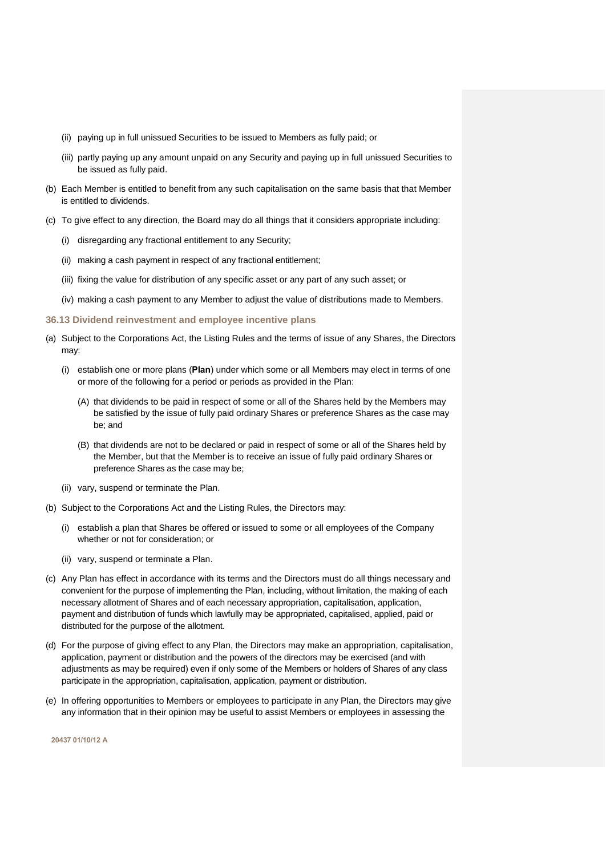- (ii) paying up in full unissued Securities to be issued to Members as fully paid; or
- (iii) partly paying up any amount unpaid on any Security and paying up in full unissued Securities to be issued as fully paid.
- (b) Each Member is entitled to benefit from any such capitalisation on the same basis that that Member is entitled to dividends.
- (c) To give effect to any direction, the Board may do all things that it considers appropriate including:
	- (i) disregarding any fractional entitlement to any Security;
	- (ii) making a cash payment in respect of any fractional entitlement;
	- (iii) fixing the value for distribution of any specific asset or any part of any such asset; or
	- (iv) making a cash payment to any Member to adjust the value of distributions made to Members.
- <span id="page-47-0"></span>**36.13 Dividend reinvestment and employee incentive plans**
- (a) Subject to the Corporations Act, the Listing Rules and the terms of issue of any Shares, the Directors may:
	- (i) establish one or more plans (**Plan**) under which some or all Members may elect in terms of one or more of the following for a period or periods as provided in the Plan:
		- (A) that dividends to be paid in respect of some or all of the Shares held by the Members may be satisfied by the issue of fully paid ordinary Shares or preference Shares as the case may be; and
		- (B) that dividends are not to be declared or paid in respect of some or all of the Shares held by the Member, but that the Member is to receive an issue of fully paid ordinary Shares or preference Shares as the case may be;
	- (ii) vary, suspend or terminate the Plan.
- (b) Subject to the Corporations Act and the Listing Rules, the Directors may:
	- (i) establish a plan that Shares be offered or issued to some or all employees of the Company whether or not for consideration; or
	- (ii) vary, suspend or terminate a Plan.
- (c) Any Plan has effect in accordance with its terms and the Directors must do all things necessary and convenient for the purpose of implementing the Plan, including, without limitation, the making of each necessary allotment of Shares and of each necessary appropriation, capitalisation, application, payment and distribution of funds which lawfully may be appropriated, capitalised, applied, paid or distributed for the purpose of the allotment.
- (d) For the purpose of giving effect to any Plan, the Directors may make an appropriation, capitalisation, application, payment or distribution and the powers of the directors may be exercised (and with adjustments as may be required) even if only some of the Members or holders of Shares of any class participate in the appropriation, capitalisation, application, payment or distribution.
- (e) In offering opportunities to Members or employees to participate in any Plan, the Directors may give any information that in their opinion may be useful to assist Members or employees in assessing the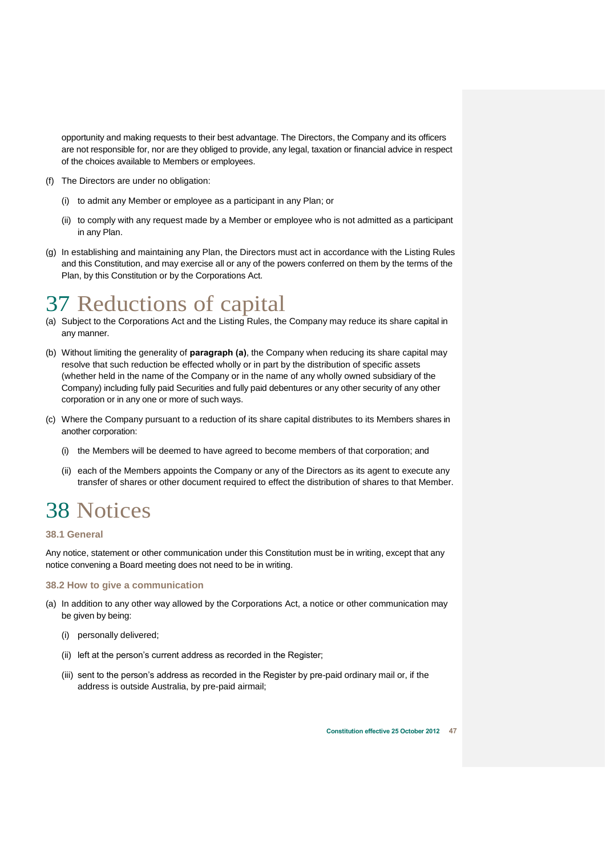opportunity and making requests to their best advantage. The Directors, the Company and its officers are not responsible for, nor are they obliged to provide, any legal, taxation or financial advice in respect of the choices available to Members or employees.

- (f) The Directors are under no obligation:
	- (i) to admit any Member or employee as a participant in any Plan; or
	- (ii) to comply with any request made by a Member or employee who is not admitted as a participant in any Plan.
- (g) In establishing and maintaining any Plan, the Directors must act in accordance with the Listing Rules and this Constitution, and may exercise all or any of the powers conferred on them by the terms of the Plan, by this Constitution or by the Corporations Act.

# <span id="page-48-0"></span>37 Reductions of capital

- (a) Subject to the Corporations Act and the Listing Rules, the Company may reduce its share capital in any manner.
- (b) Without limiting the generality of **paragraph (a)**, the Company when reducing its share capital may resolve that such reduction be effected wholly or in part by the distribution of specific assets (whether held in the name of the Company or in the name of any wholly owned subsidiary of the Company) including fully paid Securities and fully paid debentures or any other security of any other corporation or in any one or more of such ways.
- (c) Where the Company pursuant to a reduction of its share capital distributes to its Members shares in another corporation:
	- (i) the Members will be deemed to have agreed to become members of that corporation; and
	- (ii) each of the Members appoints the Company or any of the Directors as its agent to execute any transfer of shares or other document required to effect the distribution of shares to that Member.

# <span id="page-48-1"></span>38 Notices

# <span id="page-48-2"></span>**38.1 General**

Any notice, statement or other communication under this Constitution must be in writing, except that any notice convening a Board meeting does not need to be in writing.

# <span id="page-48-3"></span>**38.2 How to give a communication**

- (a) In addition to any other way allowed by the Corporations Act, a notice or other communication may be given by being:
	- (i) personally delivered;
	- (ii) left at the person's current address as recorded in the Register;
	- (iii) sent to the person's address as recorded in the Register by pre-paid ordinary mail or, if the address is outside Australia, by pre-paid airmail;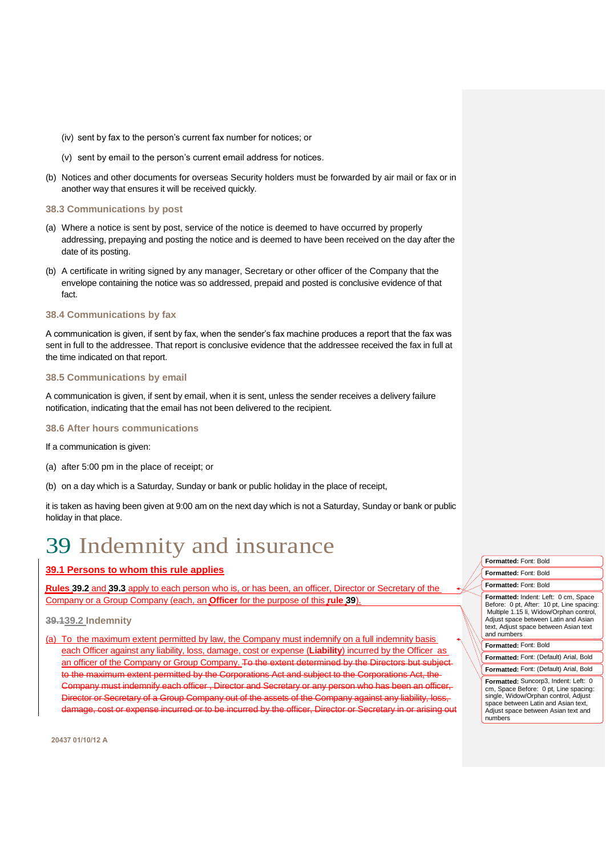- (iv) sent by fax to the person's current fax number for notices; or
- (v) sent by email to the person's current email address for notices.
- (b) Notices and other documents for overseas Security holders must be forwarded by air mail or fax or in another way that ensures it will be received quickly.

### <span id="page-49-0"></span>**38.3 Communications by post**

- (a) Where a notice is sent by post, service of the notice is deemed to have occurred by properly addressing, prepaying and posting the notice and is deemed to have been received on the day after the date of its posting.
- (b) A certificate in writing signed by any manager, Secretary or other officer of the Company that the envelope containing the notice was so addressed, prepaid and posted is conclusive evidence of that fact.

# <span id="page-49-1"></span>**38.4 Communications by fax**

A communication is given, if sent by fax, when the sender's fax machine produces a report that the fax was sent in full to the addressee. That report is conclusive evidence that the addressee received the fax in full at the time indicated on that report.

# <span id="page-49-2"></span>**38.5 Communications by email**

A communication is given, if sent by email, when it is sent, unless the sender receives a delivery failure notification, indicating that the email has not been delivered to the recipient.

# <span id="page-49-3"></span>**38.6 After hours communications**

If a communication is given:

- (a) after 5:00 pm in the place of receipt; or
- (b) on a day which is a Saturday, Sunday or bank or public holiday in the place of receipt,

it is taken as having been given at 9:00 am on the next day which is not a Saturday, Sunday or bank or public holiday in that place.

# <span id="page-49-4"></span>39 Indemnity and insurance

# <span id="page-49-5"></span>**39.1 Persons to whom this rule applies**

**Rules [39.2](#page-49-6)** and **[39.3](#page-50-0)** apply to each person who is, or has been, an officer, Director or Secretary of the Company or a Group Company (each, an **Officer** for the purpose of this **rule [39](#page-49-4)**).

# <span id="page-49-6"></span>**39.139.2 Indemnity**

(a) To the maximum extent permitted by law, the Company must indemnify on a full indemnity basis each Officer against any liability, loss, damage, cost or expense (**Liability**) incurred by the Officer as an officer of the Company or Group Company. To the extent determined by the Directors but subject maximum extent permitted by the Corporations Act and subject to the eany must indemnify each officer , Director and Secretary or any per Director or Secretary of a Group Company out of the assets of the Company against any liability, loss damage, cost or expense incurred or to be incurred by the officer, Director or Secretary in or arising out



**Formatted:** Suncorp3, Indent: Left: 0 cm, Space Before: 0 pt, Line spacing: single, Widow/Orphan control, Adjust space between Latin and Asian text. Adjust space between Asian text and numbers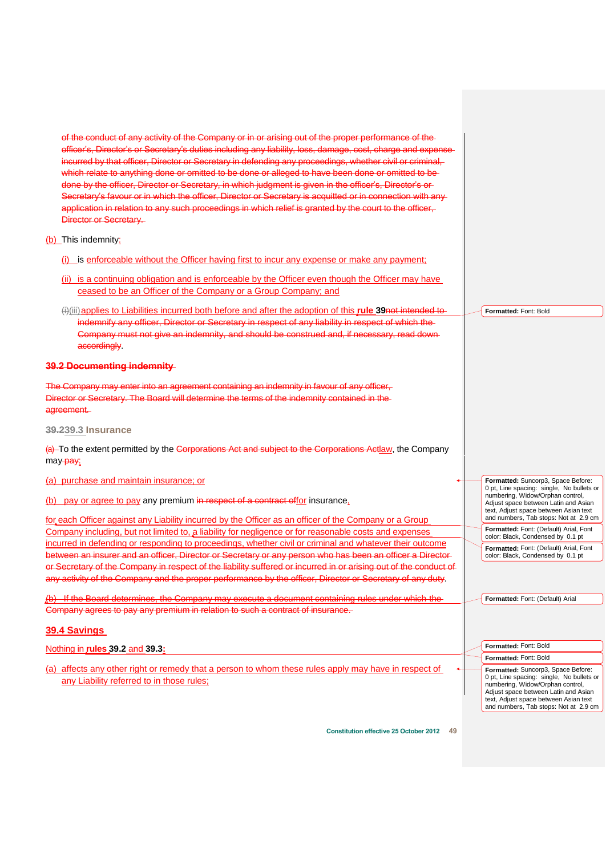<span id="page-50-0"></span>of the conduct of any activity of the Company or in or arising out of the proper performance of the officer's, Director's or Secretary's duties including any liability, loss, damage, cost, charge and expendition incurred by that officer, Director or Secretary in defending any proceedings, whether civil or criminal, which relate to anything done or omitted to be done or alleged to have been done or omitted to be done by the officer, Director or Secretary, in which judgment is given in the officer's, Director's or Secretary's favour or in which the officer. Director or Secretary is acquitted or in connection with anyapplication in relation to any such proceedings in which relief is granted by the court to the officer. Director or Secretary. (b) This indemnity: (i) is enforceable without the Officer having first to incur any expense or make any payment; (ii) is a continuing obligation and is enforceable by the Officer even though the Officer may have ceased to be an Officer of the Company or a Group Company; and (i)(iii)applies to Liabilities incurred both before and after the adoption of this **rule [39](#page-49-4)**not intended to indemnify any officer, Director or Secretary in respect of any liability in respect of which the Company must not give an indemnity, and should be construed and, if nece accordingly. **39.2 Documenting indemnity**  The Company may enter into an agreement containing an indemnity in favour of any officer, Director or Secretary. The Board will determine the terms of the indemnity contained in the agreement. **39.239.3 Insurance**  (a) To the extent permitted by the Corporations Act and subject to the Corporations Actlaw, the Company may-pay: (a) purchase and maintain insurance; or (b) pay or agree to pay any premium in respect of a contract offor insurance, for each Officer against any Liability incurred by the Officer as an officer of the Company or a Group Company including, but not limited to, a liability for negligence or for reasonable costs and expenses incurred in defending or responding to proceedings, whether civil or criminal and whatever their outcome between an insurer and an officer, Director or Secretary or any person who has been an officer a Director or Secretary of the Company in respect of the liability suffered or incurred in or arising out of the conduct of any activity of the Company and the proper performance by the officer, Director or Secretary of any duty. (b) If the Board determines, the Company may execute a document containing rules under which the Company agrees to pay any premium in relation to such a contract of insurance. **39.4 Savings** Nothing in **rules [39.2](#page-49-6)** and **[39.3:](#page-50-0)** (a) affects any other right or remedy that a person to whom these rules apply may have in respect of any Liability referred to in those rules; **Formatted:** Font: Bold **Formatted:** Suncorp3, Space Before: 0 pt, Line spacing: single, No bullets or numbering, Widow/Orphan control, Adjust space between Latin and Asian text, Adjust space between Asian text and numbers, Tab stops: Not at 2.9 cm **Formatted:** Font: (Default) Arial, Font color: Black, Condensed by 0.1 pt **Formatted:** Font: (Default) Arial, Font color: Black, Condensed by 0.1 pt **Formatted:** Font: (Default) Arial **Formatted:** Font: Bold **Formatted:** Font: Bold **Formatted:** Suncorp3, Space Before: 0 pt, Line spacing: single, No bullets or numbering, Widow/Orphan control, Adjust space between Latin and Asian text, Adjust space between Asian text and numbers, Tab stops: Not at 2.9 cm

<span id="page-50-1"></span>**Constitution effective 25 October 2012 49**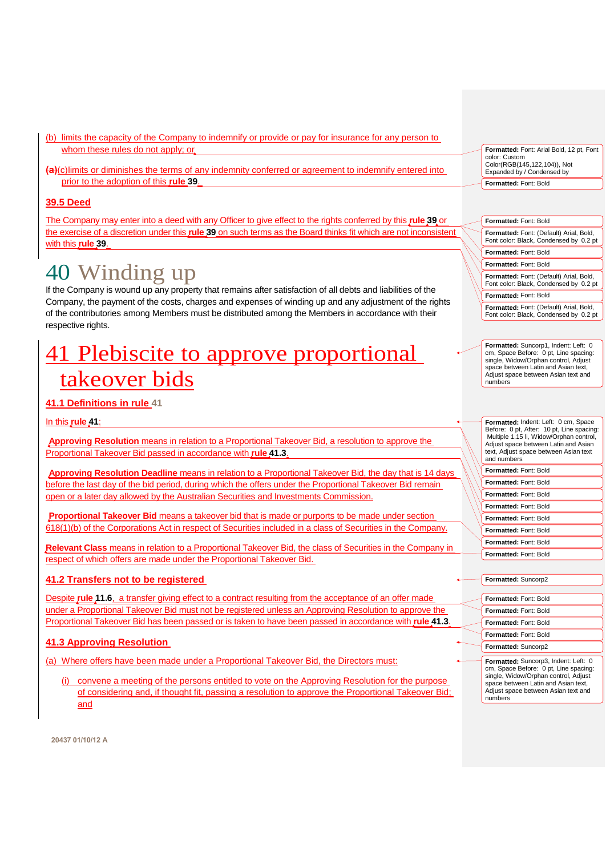- (b) limits the capacity of the Company to indemnify or provide or pay for insurance for any person to whom these rules do not apply; or
- **(a)**(c)limits or diminishes the terms of any indemnity conferred or agreement to indemnify entered into prior to the adoption of this **rule [39](#page-49-4)**.

# <span id="page-51-0"></span>**39.5 Deed**

The Company may enter into a deed with any Officer to give effect to the rights conferred by this **rule [39](#page-49-4)** or the exercise of a discretion under this **rule [39](#page-49-4)** on such terms as the Board thinks fit which are not inconsistent with this **rule [39](#page-49-4)**.

# <span id="page-51-1"></span>40 Winding up

If the Company is wound up any property that remains after satisfaction of all debts and liabilities of the Company, the payment of the costs, charges and expenses of winding up and any adjustment of the rights of the contributories among Members must be distributed among the Members in accordance with their respective rights.

# <span id="page-51-2"></span>41 Plebiscite to approve proportional takeover bids

# <span id="page-51-3"></span>**41.1 Definitions in rule [41](#page-51-2)**

# In this **rule [41](#page-51-2)**:

**Approving Resolution** means in relation to a Proportional Takeover Bid, a resolution to approve the Proportional Takeover Bid passed in accordance with **rule [41.3](#page-51-5)**.

**Approving Resolution Deadline** means in relation to a Proportional Takeover Bid, the day that is 14 days before the last day of the bid period, during which the offers under the Proportional Takeover Bid remain open or a later day allowed by the Australian Securities and Investments Commission.

**Proportional Takeover Bid** means a takeover bid that is made or purports to be made under section 618(1)(b) of the Corporations Act in respect of Securities included in a class of Securities in the Company.

**Relevant Class** means in relation to a Proportional Takeover Bid, the class of Securities in the Company in respect of which offers are made under the Proportional Takeover Bid.

# <span id="page-51-4"></span>**41.2 Transfers not to be registered**

Despite **rule [11.6](#page-19-2)**, a transfer giving effect to a contract resulting from the acceptance of an offer made under a Proportional Takeover Bid must not be registered unless an Approving Resolution to approve the Proportional Takeover Bid has been passed or is taken to have been passed in accordance with **rule [41.3](#page-51-5)**.

# <span id="page-51-5"></span>**41.3 Approving Resolution**

(a) Where offers have been made under a Proportional Takeover Bid, the Directors must:

(i) convene a meeting of the persons entitled to vote on the Approving Resolution for the purpose of considering and, if thought fit, passing a resolution to approve the Proportional Takeover Bid; and

| Formatted: Font: Arial Bold, 12 pt, Font<br>color: Custom<br>Color(RGB(145,122,104)), Not<br>Expanded by / Condensed by |
|-------------------------------------------------------------------------------------------------------------------------|
| Formatted: Font: Bold                                                                                                   |

| Formatted: Font: Bold                                                             |
|-----------------------------------------------------------------------------------|
| Formatted: Font: (Default) Arial, Bold,<br>Font color: Black, Condensed by 0.2 pt |
| Formatted: Font: Bold                                                             |
| Formatted: Font: Bold                                                             |
| Formatted: Font: (Default) Arial, Bold,<br>Font color: Black, Condensed by 0.2 pt |
| Formatted: Font: Bold                                                             |
| Formatted: Font: (Default) Arial, Bold,<br>Font color: Black, Condensed by 0.2 pt |

**Formatted:** Suncorp1, Indent: Left: 0 cm, Space Before: 0 pt, Line spacing: single, Widow/Orphan control, Adjust space between Latin and Asian text, Adjust space between Asian text and numbers

| Formatted: Indent: Left: 0 cm, Space<br>Before: 0 pt, After: 10 pt, Line spacing:<br>Multiple 1.15 li, Widow/Orphan control,<br>Adjust space between Latin and Asian<br>text, Adjust space between Asian text<br>and numbers |
|------------------------------------------------------------------------------------------------------------------------------------------------------------------------------------------------------------------------------|
| Formatted: Font: Bold                                                                                                                                                                                                        |
| Formatted: Font: Bold                                                                                                                                                                                                        |
| Formatted: Font: Bold                                                                                                                                                                                                        |
|                                                                                                                                                                                                                              |
| Formatted: Font: Bold                                                                                                                                                                                                        |

**Formatted:** Font: Bold **Formatted:** Font: Bold **Formatted:** Font: Bold

**Formatted:** Font: Bold

| Formatted: Suncorp2 |  |
|---------------------|--|
|                     |  |

| Formatted: Font: Bold                                                                                                                                                                                          |
|----------------------------------------------------------------------------------------------------------------------------------------------------------------------------------------------------------------|
| Formatted: Font: Bold                                                                                                                                                                                          |
| Formatted: Font: Bold                                                                                                                                                                                          |
| Formatted: Font: Bold                                                                                                                                                                                          |
| Formatted: Suncorp2                                                                                                                                                                                            |
| Formatted: Suncorp3, Indent: Left: 0<br>cm, Space Before: 0 pt, Line spacing:<br>single, Widow/Orphan control, Adjust<br>space between Latin and Asian text,<br>Adjust space between Asian text and<br>numbers |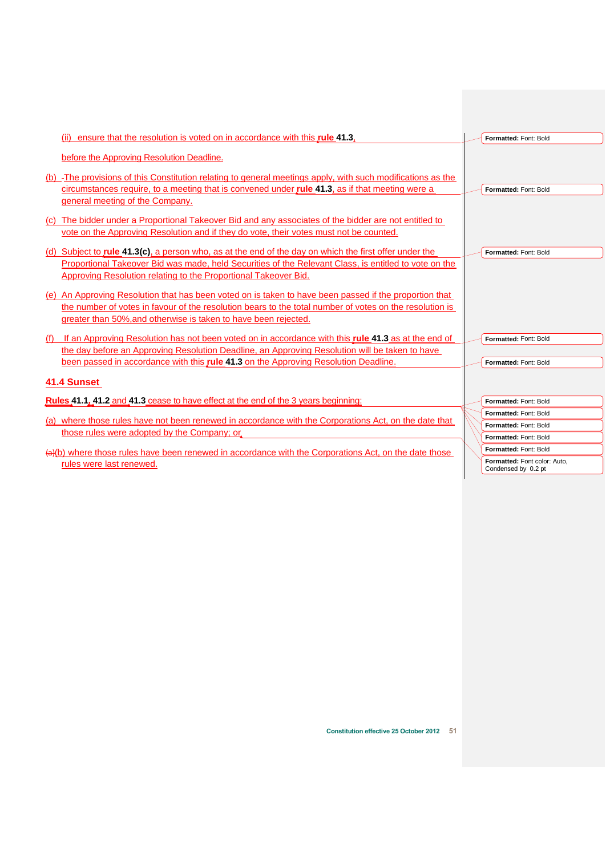<span id="page-52-1"></span><span id="page-52-0"></span>

| (ii) ensure that the resolution is voted on in accordance with this rule 41.3.<br>Formatted: Font: Bold<br>before the Approving Resolution Deadline.<br>(b) -The provisions of this Constitution relating to general meetings apply, with such modifications as the<br>circumstances require, to a meeting that is convened under <i>rule</i> 41.3, as if that meeting were a<br>Formatted: Font: Bold<br>general meeting of the Company.<br>(c) The bidder under a Proportional Takeover Bid and any associates of the bidder are not entitled to<br>vote on the Approving Resolution and if they do vote, their votes must not be counted.<br>(d) Subject to <b>rule 41.3(c)</b> , a person who, as at the end of the day on which the first offer under the<br>Formatted: Font: Bold<br>Proportional Takeover Bid was made, held Securities of the Relevant Class, is entitled to vote on the<br>Approving Resolution relating to the Proportional Takeover Bid.<br>(e) An Approving Resolution that has been voted on is taken to have been passed if the proportion that<br>the number of votes in favour of the resolution bears to the total number of votes on the resolution is<br>greater than 50%, and otherwise is taken to have been rejected.<br>(f) If an Approving Resolution has not been voted on in accordance with this rule 41.3 as at the end of<br>Formatted: Font: Bold<br>the day before an Approving Resolution Deadline, an Approving Resolution will be taken to have<br>been passed in accordance with this <b>rule 41.3</b> on the Approving Resolution Deadline.<br>Formatted: Font: Bold<br>41.4 Sunset<br>Formatted: Font: Bold<br>Formatted: Font: Bold<br>(a) where those rules have not been renewed in accordance with the Corporations Act, on the date that<br>Formatted: Font: Bold<br>those rules were adopted by the Company; or<br>Formatted: Font: Bold<br>Formatted: Font: Bold<br>(a)(b) where those rules have been renewed in accordance with the Corporations Act, on the date those | Rules 41.1, 41.2 and 41.3 cease to have effect at the end of the 3 years beginning:<br>Formatted: Font color: Auto.<br>rules were last renewed.<br>Condensed by 0.2 pt |  |
|---------------------------------------------------------------------------------------------------------------------------------------------------------------------------------------------------------------------------------------------------------------------------------------------------------------------------------------------------------------------------------------------------------------------------------------------------------------------------------------------------------------------------------------------------------------------------------------------------------------------------------------------------------------------------------------------------------------------------------------------------------------------------------------------------------------------------------------------------------------------------------------------------------------------------------------------------------------------------------------------------------------------------------------------------------------------------------------------------------------------------------------------------------------------------------------------------------------------------------------------------------------------------------------------------------------------------------------------------------------------------------------------------------------------------------------------------------------------------------------------------------------------------------------------------------------------------------------------------------------------------------------------------------------------------------------------------------------------------------------------------------------------------------------------------------------------------------------------------------------------------------------------------------------------------------------------------------------------------------------------------------------------------------------|------------------------------------------------------------------------------------------------------------------------------------------------------------------------|--|
|                                                                                                                                                                                                                                                                                                                                                                                                                                                                                                                                                                                                                                                                                                                                                                                                                                                                                                                                                                                                                                                                                                                                                                                                                                                                                                                                                                                                                                                                                                                                                                                                                                                                                                                                                                                                                                                                                                                                                                                                                                       |                                                                                                                                                                        |  |
|                                                                                                                                                                                                                                                                                                                                                                                                                                                                                                                                                                                                                                                                                                                                                                                                                                                                                                                                                                                                                                                                                                                                                                                                                                                                                                                                                                                                                                                                                                                                                                                                                                                                                                                                                                                                                                                                                                                                                                                                                                       |                                                                                                                                                                        |  |
|                                                                                                                                                                                                                                                                                                                                                                                                                                                                                                                                                                                                                                                                                                                                                                                                                                                                                                                                                                                                                                                                                                                                                                                                                                                                                                                                                                                                                                                                                                                                                                                                                                                                                                                                                                                                                                                                                                                                                                                                                                       |                                                                                                                                                                        |  |
|                                                                                                                                                                                                                                                                                                                                                                                                                                                                                                                                                                                                                                                                                                                                                                                                                                                                                                                                                                                                                                                                                                                                                                                                                                                                                                                                                                                                                                                                                                                                                                                                                                                                                                                                                                                                                                                                                                                                                                                                                                       |                                                                                                                                                                        |  |
|                                                                                                                                                                                                                                                                                                                                                                                                                                                                                                                                                                                                                                                                                                                                                                                                                                                                                                                                                                                                                                                                                                                                                                                                                                                                                                                                                                                                                                                                                                                                                                                                                                                                                                                                                                                                                                                                                                                                                                                                                                       |                                                                                                                                                                        |  |
|                                                                                                                                                                                                                                                                                                                                                                                                                                                                                                                                                                                                                                                                                                                                                                                                                                                                                                                                                                                                                                                                                                                                                                                                                                                                                                                                                                                                                                                                                                                                                                                                                                                                                                                                                                                                                                                                                                                                                                                                                                       |                                                                                                                                                                        |  |
|                                                                                                                                                                                                                                                                                                                                                                                                                                                                                                                                                                                                                                                                                                                                                                                                                                                                                                                                                                                                                                                                                                                                                                                                                                                                                                                                                                                                                                                                                                                                                                                                                                                                                                                                                                                                                                                                                                                                                                                                                                       |                                                                                                                                                                        |  |
|                                                                                                                                                                                                                                                                                                                                                                                                                                                                                                                                                                                                                                                                                                                                                                                                                                                                                                                                                                                                                                                                                                                                                                                                                                                                                                                                                                                                                                                                                                                                                                                                                                                                                                                                                                                                                                                                                                                                                                                                                                       |                                                                                                                                                                        |  |
|                                                                                                                                                                                                                                                                                                                                                                                                                                                                                                                                                                                                                                                                                                                                                                                                                                                                                                                                                                                                                                                                                                                                                                                                                                                                                                                                                                                                                                                                                                                                                                                                                                                                                                                                                                                                                                                                                                                                                                                                                                       |                                                                                                                                                                        |  |
|                                                                                                                                                                                                                                                                                                                                                                                                                                                                                                                                                                                                                                                                                                                                                                                                                                                                                                                                                                                                                                                                                                                                                                                                                                                                                                                                                                                                                                                                                                                                                                                                                                                                                                                                                                                                                                                                                                                                                                                                                                       |                                                                                                                                                                        |  |
|                                                                                                                                                                                                                                                                                                                                                                                                                                                                                                                                                                                                                                                                                                                                                                                                                                                                                                                                                                                                                                                                                                                                                                                                                                                                                                                                                                                                                                                                                                                                                                                                                                                                                                                                                                                                                                                                                                                                                                                                                                       |                                                                                                                                                                        |  |
|                                                                                                                                                                                                                                                                                                                                                                                                                                                                                                                                                                                                                                                                                                                                                                                                                                                                                                                                                                                                                                                                                                                                                                                                                                                                                                                                                                                                                                                                                                                                                                                                                                                                                                                                                                                                                                                                                                                                                                                                                                       |                                                                                                                                                                        |  |
|                                                                                                                                                                                                                                                                                                                                                                                                                                                                                                                                                                                                                                                                                                                                                                                                                                                                                                                                                                                                                                                                                                                                                                                                                                                                                                                                                                                                                                                                                                                                                                                                                                                                                                                                                                                                                                                                                                                                                                                                                                       |                                                                                                                                                                        |  |
|                                                                                                                                                                                                                                                                                                                                                                                                                                                                                                                                                                                                                                                                                                                                                                                                                                                                                                                                                                                                                                                                                                                                                                                                                                                                                                                                                                                                                                                                                                                                                                                                                                                                                                                                                                                                                                                                                                                                                                                                                                       |                                                                                                                                                                        |  |
|                                                                                                                                                                                                                                                                                                                                                                                                                                                                                                                                                                                                                                                                                                                                                                                                                                                                                                                                                                                                                                                                                                                                                                                                                                                                                                                                                                                                                                                                                                                                                                                                                                                                                                                                                                                                                                                                                                                                                                                                                                       |                                                                                                                                                                        |  |
|                                                                                                                                                                                                                                                                                                                                                                                                                                                                                                                                                                                                                                                                                                                                                                                                                                                                                                                                                                                                                                                                                                                                                                                                                                                                                                                                                                                                                                                                                                                                                                                                                                                                                                                                                                                                                                                                                                                                                                                                                                       |                                                                                                                                                                        |  |
|                                                                                                                                                                                                                                                                                                                                                                                                                                                                                                                                                                                                                                                                                                                                                                                                                                                                                                                                                                                                                                                                                                                                                                                                                                                                                                                                                                                                                                                                                                                                                                                                                                                                                                                                                                                                                                                                                                                                                                                                                                       |                                                                                                                                                                        |  |
|                                                                                                                                                                                                                                                                                                                                                                                                                                                                                                                                                                                                                                                                                                                                                                                                                                                                                                                                                                                                                                                                                                                                                                                                                                                                                                                                                                                                                                                                                                                                                                                                                                                                                                                                                                                                                                                                                                                                                                                                                                       |                                                                                                                                                                        |  |
|                                                                                                                                                                                                                                                                                                                                                                                                                                                                                                                                                                                                                                                                                                                                                                                                                                                                                                                                                                                                                                                                                                                                                                                                                                                                                                                                                                                                                                                                                                                                                                                                                                                                                                                                                                                                                                                                                                                                                                                                                                       |                                                                                                                                                                        |  |
|                                                                                                                                                                                                                                                                                                                                                                                                                                                                                                                                                                                                                                                                                                                                                                                                                                                                                                                                                                                                                                                                                                                                                                                                                                                                                                                                                                                                                                                                                                                                                                                                                                                                                                                                                                                                                                                                                                                                                                                                                                       |                                                                                                                                                                        |  |
|                                                                                                                                                                                                                                                                                                                                                                                                                                                                                                                                                                                                                                                                                                                                                                                                                                                                                                                                                                                                                                                                                                                                                                                                                                                                                                                                                                                                                                                                                                                                                                                                                                                                                                                                                                                                                                                                                                                                                                                                                                       |                                                                                                                                                                        |  |
|                                                                                                                                                                                                                                                                                                                                                                                                                                                                                                                                                                                                                                                                                                                                                                                                                                                                                                                                                                                                                                                                                                                                                                                                                                                                                                                                                                                                                                                                                                                                                                                                                                                                                                                                                                                                                                                                                                                                                                                                                                       |                                                                                                                                                                        |  |
|                                                                                                                                                                                                                                                                                                                                                                                                                                                                                                                                                                                                                                                                                                                                                                                                                                                                                                                                                                                                                                                                                                                                                                                                                                                                                                                                                                                                                                                                                                                                                                                                                                                                                                                                                                                                                                                                                                                                                                                                                                       |                                                                                                                                                                        |  |
|                                                                                                                                                                                                                                                                                                                                                                                                                                                                                                                                                                                                                                                                                                                                                                                                                                                                                                                                                                                                                                                                                                                                                                                                                                                                                                                                                                                                                                                                                                                                                                                                                                                                                                                                                                                                                                                                                                                                                                                                                                       |                                                                                                                                                                        |  |
|                                                                                                                                                                                                                                                                                                                                                                                                                                                                                                                                                                                                                                                                                                                                                                                                                                                                                                                                                                                                                                                                                                                                                                                                                                                                                                                                                                                                                                                                                                                                                                                                                                                                                                                                                                                                                                                                                                                                                                                                                                       |                                                                                                                                                                        |  |
|                                                                                                                                                                                                                                                                                                                                                                                                                                                                                                                                                                                                                                                                                                                                                                                                                                                                                                                                                                                                                                                                                                                                                                                                                                                                                                                                                                                                                                                                                                                                                                                                                                                                                                                                                                                                                                                                                                                                                                                                                                       |                                                                                                                                                                        |  |
|                                                                                                                                                                                                                                                                                                                                                                                                                                                                                                                                                                                                                                                                                                                                                                                                                                                                                                                                                                                                                                                                                                                                                                                                                                                                                                                                                                                                                                                                                                                                                                                                                                                                                                                                                                                                                                                                                                                                                                                                                                       |                                                                                                                                                                        |  |
|                                                                                                                                                                                                                                                                                                                                                                                                                                                                                                                                                                                                                                                                                                                                                                                                                                                                                                                                                                                                                                                                                                                                                                                                                                                                                                                                                                                                                                                                                                                                                                                                                                                                                                                                                                                                                                                                                                                                                                                                                                       |                                                                                                                                                                        |  |